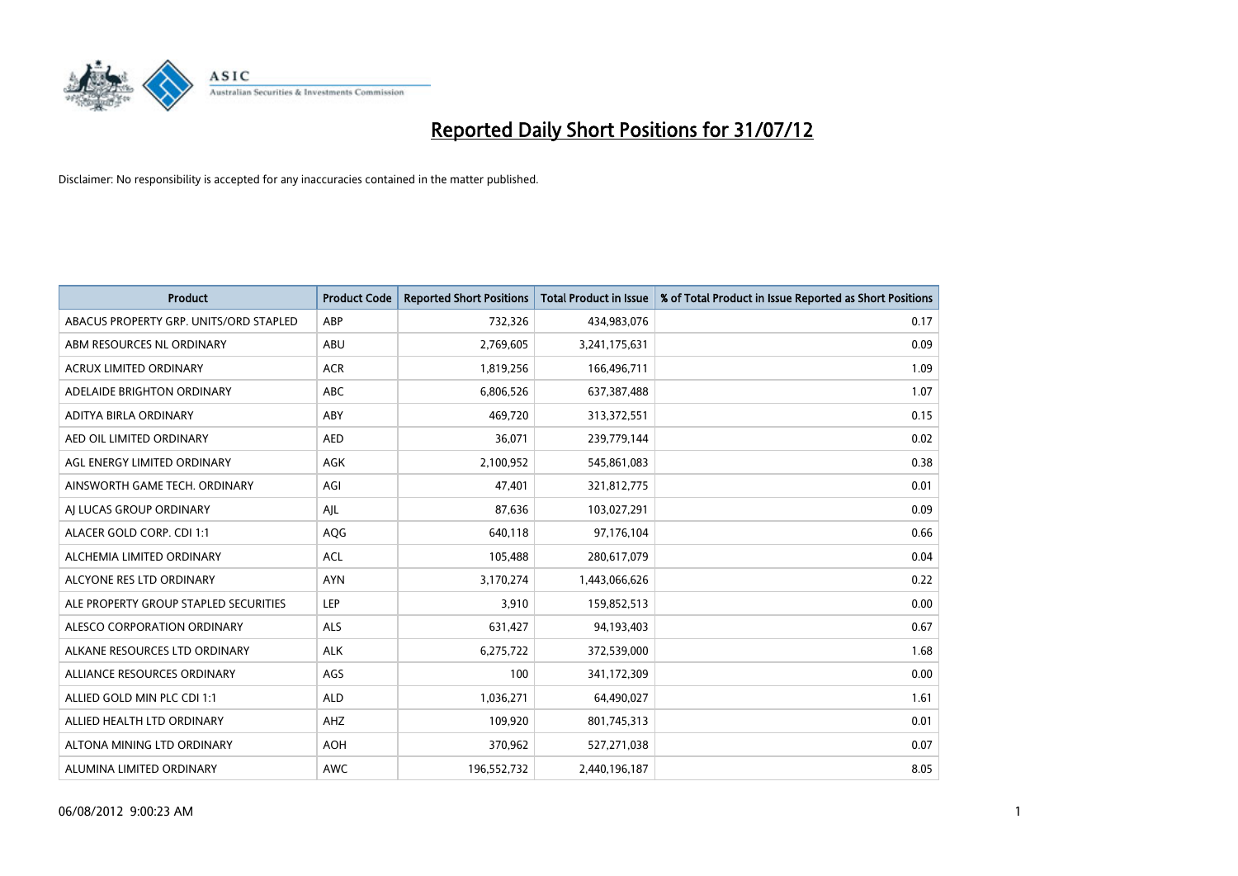

| <b>Product</b>                         | <b>Product Code</b> | <b>Reported Short Positions</b> | <b>Total Product in Issue</b> | % of Total Product in Issue Reported as Short Positions |
|----------------------------------------|---------------------|---------------------------------|-------------------------------|---------------------------------------------------------|
| ABACUS PROPERTY GRP. UNITS/ORD STAPLED | ABP                 | 732,326                         | 434,983,076                   | 0.17                                                    |
| ABM RESOURCES NL ORDINARY              | ABU                 | 2,769,605                       | 3,241,175,631                 | 0.09                                                    |
| ACRUX LIMITED ORDINARY                 | <b>ACR</b>          | 1,819,256                       | 166,496,711                   | 1.09                                                    |
| ADELAIDE BRIGHTON ORDINARY             | <b>ABC</b>          | 6,806,526                       | 637,387,488                   | 1.07                                                    |
| ADITYA BIRLA ORDINARY                  | ABY                 | 469,720                         | 313,372,551                   | 0.15                                                    |
| AED OIL LIMITED ORDINARY               | <b>AED</b>          | 36,071                          | 239,779,144                   | 0.02                                                    |
| AGL ENERGY LIMITED ORDINARY            | AGK                 | 2,100,952                       | 545,861,083                   | 0.38                                                    |
| AINSWORTH GAME TECH. ORDINARY          | AGI                 | 47.401                          | 321,812,775                   | 0.01                                                    |
| AI LUCAS GROUP ORDINARY                | AJL                 | 87,636                          | 103,027,291                   | 0.09                                                    |
| ALACER GOLD CORP. CDI 1:1              | <b>AQG</b>          | 640,118                         | 97,176,104                    | 0.66                                                    |
| ALCHEMIA LIMITED ORDINARY              | <b>ACL</b>          | 105,488                         | 280,617,079                   | 0.04                                                    |
| ALCYONE RES LTD ORDINARY               | <b>AYN</b>          | 3,170,274                       | 1,443,066,626                 | 0.22                                                    |
| ALE PROPERTY GROUP STAPLED SECURITIES  | LEP                 | 3,910                           | 159,852,513                   | 0.00                                                    |
| ALESCO CORPORATION ORDINARY            | <b>ALS</b>          | 631,427                         | 94,193,403                    | 0.67                                                    |
| ALKANE RESOURCES LTD ORDINARY          | <b>ALK</b>          | 6,275,722                       | 372,539,000                   | 1.68                                                    |
| ALLIANCE RESOURCES ORDINARY            | AGS                 | 100                             | 341,172,309                   | 0.00                                                    |
| ALLIED GOLD MIN PLC CDI 1:1            | <b>ALD</b>          | 1,036,271                       | 64,490,027                    | 1.61                                                    |
| ALLIED HEALTH LTD ORDINARY             | AHZ                 | 109,920                         | 801,745,313                   | 0.01                                                    |
| ALTONA MINING LTD ORDINARY             | <b>AOH</b>          | 370,962                         | 527,271,038                   | 0.07                                                    |
| ALUMINA LIMITED ORDINARY               | <b>AWC</b>          | 196,552,732                     | 2,440,196,187                 | 8.05                                                    |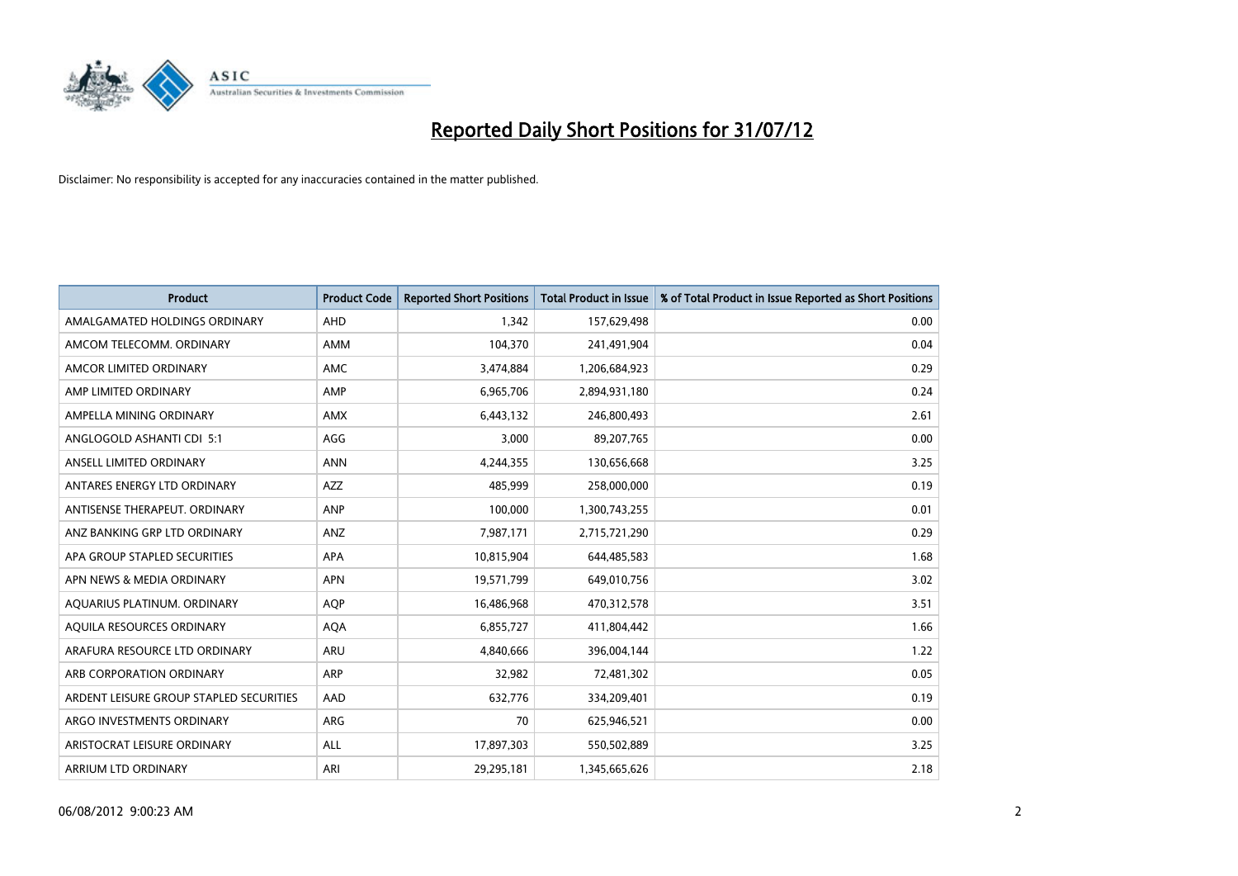

| <b>Product</b>                          | <b>Product Code</b> | <b>Reported Short Positions</b> | <b>Total Product in Issue</b> | % of Total Product in Issue Reported as Short Positions |
|-----------------------------------------|---------------------|---------------------------------|-------------------------------|---------------------------------------------------------|
| AMALGAMATED HOLDINGS ORDINARY           | <b>AHD</b>          | 1.342                           | 157,629,498                   | 0.00                                                    |
| AMCOM TELECOMM. ORDINARY                | <b>AMM</b>          | 104,370                         | 241,491,904                   | 0.04                                                    |
| AMCOR LIMITED ORDINARY                  | <b>AMC</b>          | 3,474,884                       | 1,206,684,923                 | 0.29                                                    |
| AMP LIMITED ORDINARY                    | AMP                 | 6,965,706                       | 2,894,931,180                 | 0.24                                                    |
| AMPELLA MINING ORDINARY                 | <b>AMX</b>          | 6,443,132                       | 246,800,493                   | 2.61                                                    |
| ANGLOGOLD ASHANTI CDI 5:1               | AGG                 | 3,000                           | 89,207,765                    | 0.00                                                    |
| ANSELL LIMITED ORDINARY                 | <b>ANN</b>          | 4,244,355                       | 130,656,668                   | 3.25                                                    |
| ANTARES ENERGY LTD ORDINARY             | <b>AZZ</b>          | 485,999                         | 258,000,000                   | 0.19                                                    |
| ANTISENSE THERAPEUT, ORDINARY           | ANP                 | 100,000                         | 1,300,743,255                 | 0.01                                                    |
| ANZ BANKING GRP LTD ORDINARY            | ANZ                 | 7,987,171                       | 2,715,721,290                 | 0.29                                                    |
| APA GROUP STAPLED SECURITIES            | <b>APA</b>          | 10,815,904                      | 644,485,583                   | 1.68                                                    |
| APN NEWS & MEDIA ORDINARY               | <b>APN</b>          | 19,571,799                      | 649,010,756                   | 3.02                                                    |
| AQUARIUS PLATINUM. ORDINARY             | <b>AOP</b>          | 16,486,968                      | 470,312,578                   | 3.51                                                    |
| AQUILA RESOURCES ORDINARY               | <b>AQA</b>          | 6,855,727                       | 411,804,442                   | 1.66                                                    |
| ARAFURA RESOURCE LTD ORDINARY           | <b>ARU</b>          | 4.840.666                       | 396,004,144                   | 1.22                                                    |
| ARB CORPORATION ORDINARY                | <b>ARP</b>          | 32,982                          | 72,481,302                    | 0.05                                                    |
| ARDENT LEISURE GROUP STAPLED SECURITIES | AAD                 | 632,776                         | 334,209,401                   | 0.19                                                    |
| ARGO INVESTMENTS ORDINARY               | <b>ARG</b>          | 70                              | 625,946,521                   | 0.00                                                    |
| ARISTOCRAT LEISURE ORDINARY             | <b>ALL</b>          | 17,897,303                      | 550,502,889                   | 3.25                                                    |
| ARRIUM LTD ORDINARY                     | ARI                 | 29,295,181                      | 1,345,665,626                 | 2.18                                                    |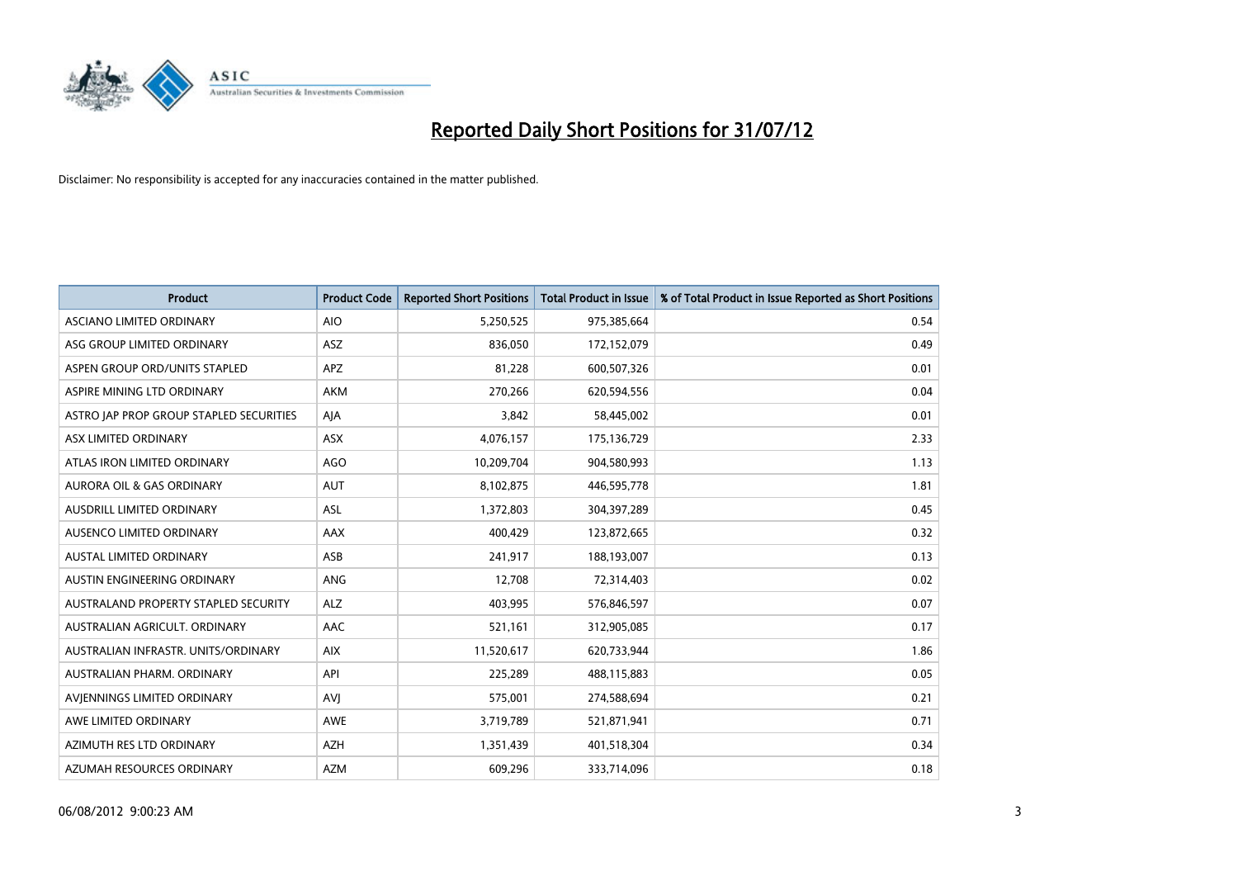

| <b>Product</b>                          | <b>Product Code</b> | <b>Reported Short Positions</b> | <b>Total Product in Issue</b> | % of Total Product in Issue Reported as Short Positions |
|-----------------------------------------|---------------------|---------------------------------|-------------------------------|---------------------------------------------------------|
| ASCIANO LIMITED ORDINARY                | <b>AIO</b>          | 5,250,525                       | 975,385,664                   | 0.54                                                    |
| ASG GROUP LIMITED ORDINARY              | <b>ASZ</b>          | 836,050                         | 172,152,079                   | 0.49                                                    |
| ASPEN GROUP ORD/UNITS STAPLED           | <b>APZ</b>          | 81,228                          | 600,507,326                   | 0.01                                                    |
| ASPIRE MINING LTD ORDINARY              | <b>AKM</b>          | 270,266                         | 620,594,556                   | 0.04                                                    |
| ASTRO JAP PROP GROUP STAPLED SECURITIES | AIA                 | 3,842                           | 58,445,002                    | 0.01                                                    |
| ASX LIMITED ORDINARY                    | <b>ASX</b>          | 4,076,157                       | 175,136,729                   | 2.33                                                    |
| ATLAS IRON LIMITED ORDINARY             | <b>AGO</b>          | 10,209,704                      | 904,580,993                   | 1.13                                                    |
| AURORA OIL & GAS ORDINARY               | AUT                 | 8,102,875                       | 446,595,778                   | 1.81                                                    |
| AUSDRILL LIMITED ORDINARY               | <b>ASL</b>          | 1,372,803                       | 304,397,289                   | 0.45                                                    |
| AUSENCO LIMITED ORDINARY                | <b>AAX</b>          | 400,429                         | 123,872,665                   | 0.32                                                    |
| AUSTAL LIMITED ORDINARY                 | ASB                 | 241,917                         | 188,193,007                   | 0.13                                                    |
| <b>AUSTIN ENGINEERING ORDINARY</b>      | <b>ANG</b>          | 12,708                          | 72,314,403                    | 0.02                                                    |
| AUSTRALAND PROPERTY STAPLED SECURITY    | <b>ALZ</b>          | 403,995                         | 576,846,597                   | 0.07                                                    |
| AUSTRALIAN AGRICULT. ORDINARY           | AAC                 | 521,161                         | 312,905,085                   | 0.17                                                    |
| AUSTRALIAN INFRASTR, UNITS/ORDINARY     | <b>AIX</b>          | 11,520,617                      | 620,733,944                   | 1.86                                                    |
| AUSTRALIAN PHARM. ORDINARY              | API                 | 225,289                         | 488,115,883                   | 0.05                                                    |
| AVIENNINGS LIMITED ORDINARY             | AVI                 | 575,001                         | 274,588,694                   | 0.21                                                    |
| AWE LIMITED ORDINARY                    | <b>AWE</b>          | 3,719,789                       | 521,871,941                   | 0.71                                                    |
| AZIMUTH RES LTD ORDINARY                | <b>AZH</b>          | 1,351,439                       | 401,518,304                   | 0.34                                                    |
| AZUMAH RESOURCES ORDINARY               | <b>AZM</b>          | 609,296                         | 333,714,096                   | 0.18                                                    |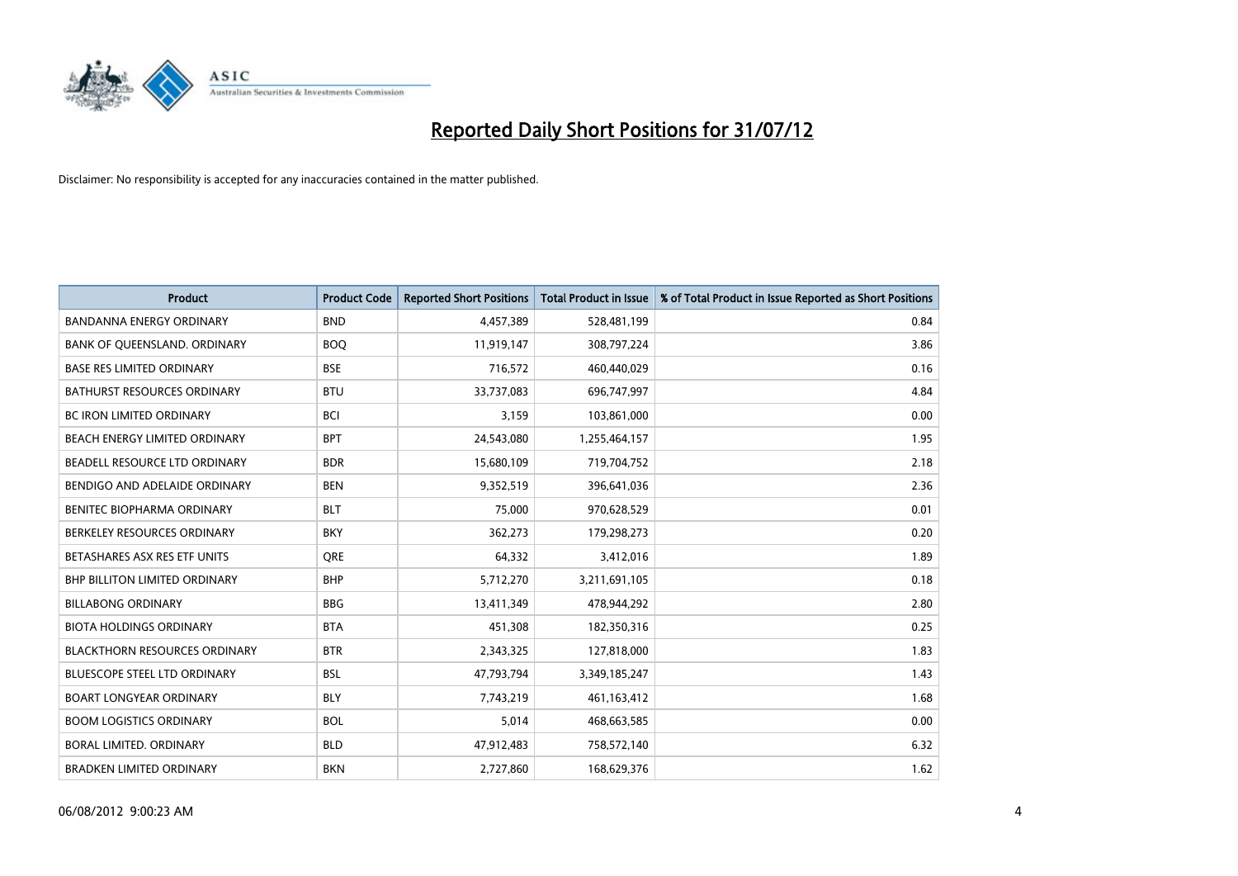

| <b>Product</b>                       | <b>Product Code</b> | <b>Reported Short Positions</b> | <b>Total Product in Issue</b> | % of Total Product in Issue Reported as Short Positions |
|--------------------------------------|---------------------|---------------------------------|-------------------------------|---------------------------------------------------------|
| <b>BANDANNA ENERGY ORDINARY</b>      | <b>BND</b>          | 4,457,389                       | 528,481,199                   | 0.84                                                    |
| BANK OF QUEENSLAND. ORDINARY         | <b>BOQ</b>          | 11,919,147                      | 308,797,224                   | 3.86                                                    |
| <b>BASE RES LIMITED ORDINARY</b>     | <b>BSE</b>          | 716,572                         | 460,440,029                   | 0.16                                                    |
| BATHURST RESOURCES ORDINARY          | <b>BTU</b>          | 33,737,083                      | 696,747,997                   | 4.84                                                    |
| <b>BC IRON LIMITED ORDINARY</b>      | <b>BCI</b>          | 3,159                           | 103,861,000                   | 0.00                                                    |
| BEACH ENERGY LIMITED ORDINARY        | <b>BPT</b>          | 24,543,080                      | 1,255,464,157                 | 1.95                                                    |
| BEADELL RESOURCE LTD ORDINARY        | <b>BDR</b>          | 15,680,109                      | 719,704,752                   | 2.18                                                    |
| BENDIGO AND ADELAIDE ORDINARY        | <b>BEN</b>          | 9,352,519                       | 396,641,036                   | 2.36                                                    |
| BENITEC BIOPHARMA ORDINARY           | <b>BLT</b>          | 75,000                          | 970,628,529                   | 0.01                                                    |
| BERKELEY RESOURCES ORDINARY          | <b>BKY</b>          | 362,273                         | 179,298,273                   | 0.20                                                    |
| BETASHARES ASX RES ETF UNITS         | <b>ORE</b>          | 64,332                          | 3,412,016                     | 1.89                                                    |
| <b>BHP BILLITON LIMITED ORDINARY</b> | <b>BHP</b>          | 5,712,270                       | 3,211,691,105                 | 0.18                                                    |
| <b>BILLABONG ORDINARY</b>            | <b>BBG</b>          | 13,411,349                      | 478,944,292                   | 2.80                                                    |
| <b>BIOTA HOLDINGS ORDINARY</b>       | <b>BTA</b>          | 451,308                         | 182,350,316                   | 0.25                                                    |
| <b>BLACKTHORN RESOURCES ORDINARY</b> | <b>BTR</b>          | 2,343,325                       | 127,818,000                   | 1.83                                                    |
| BLUESCOPE STEEL LTD ORDINARY         | <b>BSL</b>          | 47,793,794                      | 3,349,185,247                 | 1.43                                                    |
| <b>BOART LONGYEAR ORDINARY</b>       | <b>BLY</b>          | 7,743,219                       | 461,163,412                   | 1.68                                                    |
| <b>BOOM LOGISTICS ORDINARY</b>       | <b>BOL</b>          | 5,014                           | 468,663,585                   | 0.00                                                    |
| <b>BORAL LIMITED, ORDINARY</b>       | <b>BLD</b>          | 47,912,483                      | 758,572,140                   | 6.32                                                    |
| <b>BRADKEN LIMITED ORDINARY</b>      | <b>BKN</b>          | 2,727,860                       | 168,629,376                   | 1.62                                                    |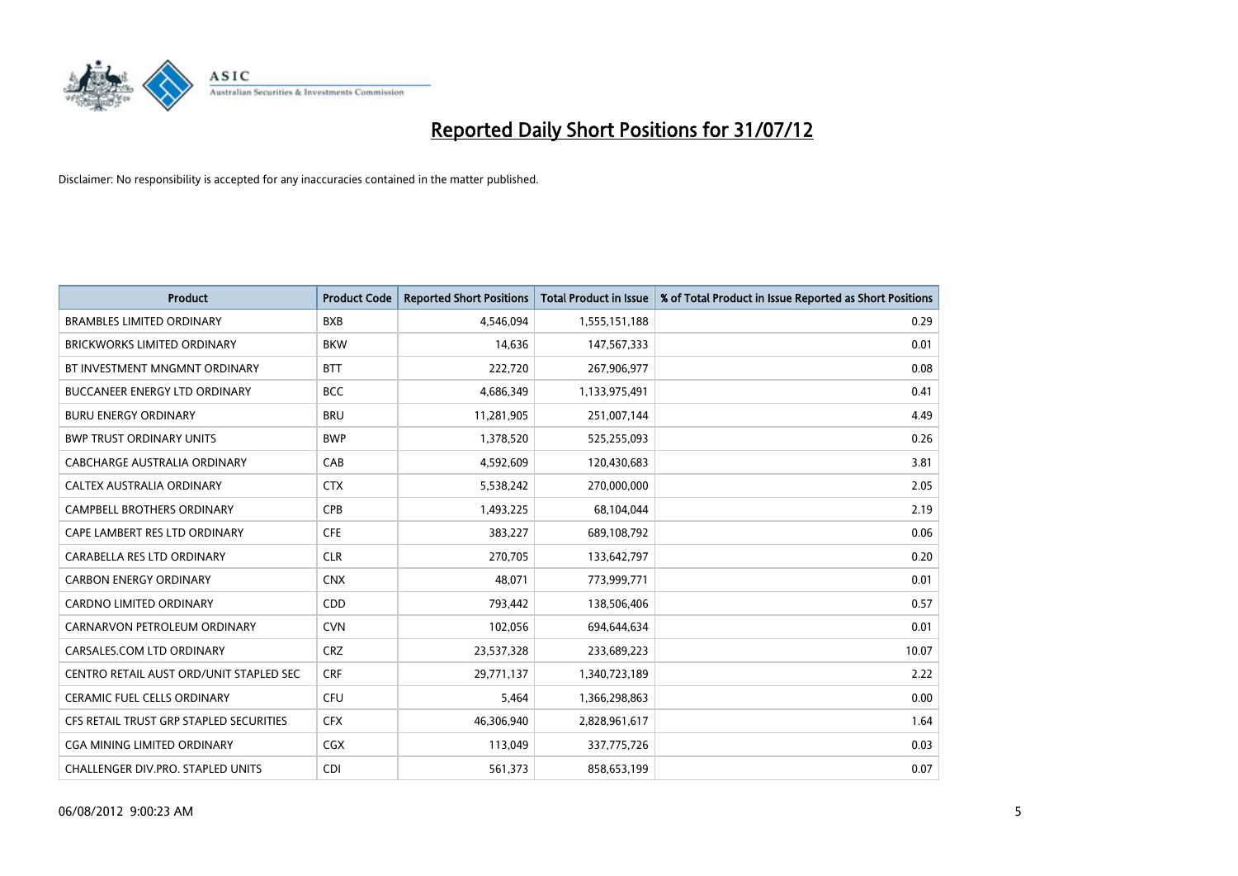

| <b>Product</b>                           | <b>Product Code</b> | <b>Reported Short Positions</b> | <b>Total Product in Issue</b> | % of Total Product in Issue Reported as Short Positions |
|------------------------------------------|---------------------|---------------------------------|-------------------------------|---------------------------------------------------------|
| <b>BRAMBLES LIMITED ORDINARY</b>         | <b>BXB</b>          | 4,546,094                       | 1,555,151,188                 | 0.29                                                    |
| <b>BRICKWORKS LIMITED ORDINARY</b>       | <b>BKW</b>          | 14,636                          | 147,567,333                   | 0.01                                                    |
| BT INVESTMENT MNGMNT ORDINARY            | <b>BTT</b>          | 222,720                         | 267,906,977                   | 0.08                                                    |
| BUCCANEER ENERGY LTD ORDINARY            | <b>BCC</b>          | 4,686,349                       | 1,133,975,491                 | 0.41                                                    |
| <b>BURU ENERGY ORDINARY</b>              | <b>BRU</b>          | 11,281,905                      | 251,007,144                   | 4.49                                                    |
| <b>BWP TRUST ORDINARY UNITS</b>          | <b>BWP</b>          | 1,378,520                       | 525,255,093                   | 0.26                                                    |
| <b>CABCHARGE AUSTRALIA ORDINARY</b>      | CAB                 | 4,592,609                       | 120,430,683                   | 3.81                                                    |
| <b>CALTEX AUSTRALIA ORDINARY</b>         | <b>CTX</b>          | 5,538,242                       | 270,000,000                   | 2.05                                                    |
| CAMPBELL BROTHERS ORDINARY               | <b>CPB</b>          | 1,493,225                       | 68,104,044                    | 2.19                                                    |
| CAPE LAMBERT RES LTD ORDINARY            | <b>CFE</b>          | 383,227                         | 689,108,792                   | 0.06                                                    |
| CARABELLA RES LTD ORDINARY               | <b>CLR</b>          | 270,705                         | 133,642,797                   | 0.20                                                    |
| <b>CARBON ENERGY ORDINARY</b>            | <b>CNX</b>          | 48,071                          | 773,999,771                   | 0.01                                                    |
| <b>CARDNO LIMITED ORDINARY</b>           | <b>CDD</b>          | 793,442                         | 138,506,406                   | 0.57                                                    |
| CARNARVON PETROLEUM ORDINARY             | <b>CVN</b>          | 102,056                         | 694,644,634                   | 0.01                                                    |
| CARSALES.COM LTD ORDINARY                | <b>CRZ</b>          | 23,537,328                      | 233,689,223                   | 10.07                                                   |
| CENTRO RETAIL AUST ORD/UNIT STAPLED SEC  | <b>CRF</b>          | 29,771,137                      | 1,340,723,189                 | 2.22                                                    |
| <b>CERAMIC FUEL CELLS ORDINARY</b>       | <b>CFU</b>          | 5,464                           | 1,366,298,863                 | 0.00                                                    |
| CFS RETAIL TRUST GRP STAPLED SECURITIES  | <b>CFX</b>          | 46,306,940                      | 2,828,961,617                 | 1.64                                                    |
| <b>CGA MINING LIMITED ORDINARY</b>       | <b>CGX</b>          | 113,049                         | 337,775,726                   | 0.03                                                    |
| <b>CHALLENGER DIV.PRO. STAPLED UNITS</b> | <b>CDI</b>          | 561,373                         | 858,653,199                   | 0.07                                                    |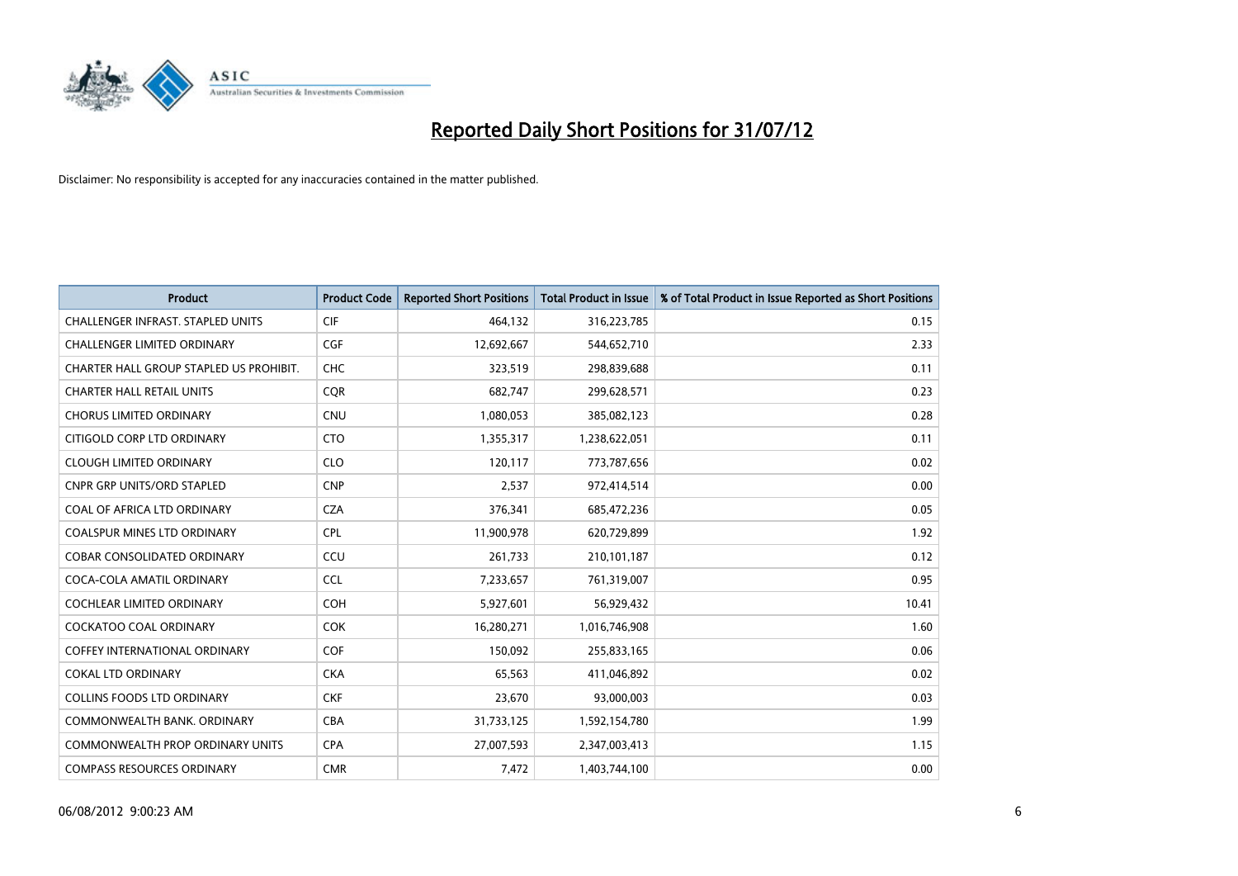

| <b>Product</b>                           | <b>Product Code</b> | <b>Reported Short Positions</b> | <b>Total Product in Issue</b> | % of Total Product in Issue Reported as Short Positions |
|------------------------------------------|---------------------|---------------------------------|-------------------------------|---------------------------------------------------------|
| <b>CHALLENGER INFRAST, STAPLED UNITS</b> | <b>CIF</b>          | 464,132                         | 316,223,785                   | 0.15                                                    |
| CHALLENGER LIMITED ORDINARY              | <b>CGF</b>          | 12,692,667                      | 544,652,710                   | 2.33                                                    |
| CHARTER HALL GROUP STAPLED US PROHIBIT.  | <b>CHC</b>          | 323,519                         | 298,839,688                   | 0.11                                                    |
| <b>CHARTER HALL RETAIL UNITS</b>         | <b>COR</b>          | 682,747                         | 299,628,571                   | 0.23                                                    |
| <b>CHORUS LIMITED ORDINARY</b>           | <b>CNU</b>          | 1,080,053                       | 385,082,123                   | 0.28                                                    |
| CITIGOLD CORP LTD ORDINARY               | <b>CTO</b>          | 1,355,317                       | 1,238,622,051                 | 0.11                                                    |
| <b>CLOUGH LIMITED ORDINARY</b>           | <b>CLO</b>          | 120,117                         | 773,787,656                   | 0.02                                                    |
| <b>CNPR GRP UNITS/ORD STAPLED</b>        | <b>CNP</b>          | 2,537                           | 972,414,514                   | 0.00                                                    |
| COAL OF AFRICA LTD ORDINARY              | <b>CZA</b>          | 376,341                         | 685,472,236                   | 0.05                                                    |
| <b>COALSPUR MINES LTD ORDINARY</b>       | <b>CPL</b>          | 11,900,978                      | 620,729,899                   | 1.92                                                    |
| COBAR CONSOLIDATED ORDINARY              | CCU                 | 261,733                         | 210,101,187                   | 0.12                                                    |
| COCA-COLA AMATIL ORDINARY                | <b>CCL</b>          | 7,233,657                       | 761,319,007                   | 0.95                                                    |
| <b>COCHLEAR LIMITED ORDINARY</b>         | <b>COH</b>          | 5,927,601                       | 56,929,432                    | 10.41                                                   |
| <b>COCKATOO COAL ORDINARY</b>            | <b>COK</b>          | 16,280,271                      | 1,016,746,908                 | 1.60                                                    |
| <b>COFFEY INTERNATIONAL ORDINARY</b>     | <b>COF</b>          | 150,092                         | 255,833,165                   | 0.06                                                    |
| <b>COKAL LTD ORDINARY</b>                | <b>CKA</b>          | 65,563                          | 411,046,892                   | 0.02                                                    |
| COLLINS FOODS LTD ORDINARY               | <b>CKF</b>          | 23,670                          | 93,000,003                    | 0.03                                                    |
| COMMONWEALTH BANK, ORDINARY              | <b>CBA</b>          | 31,733,125                      | 1,592,154,780                 | 1.99                                                    |
| <b>COMMONWEALTH PROP ORDINARY UNITS</b>  | <b>CPA</b>          | 27,007,593                      | 2,347,003,413                 | 1.15                                                    |
| <b>COMPASS RESOURCES ORDINARY</b>        | <b>CMR</b>          | 7,472                           | 1,403,744,100                 | 0.00                                                    |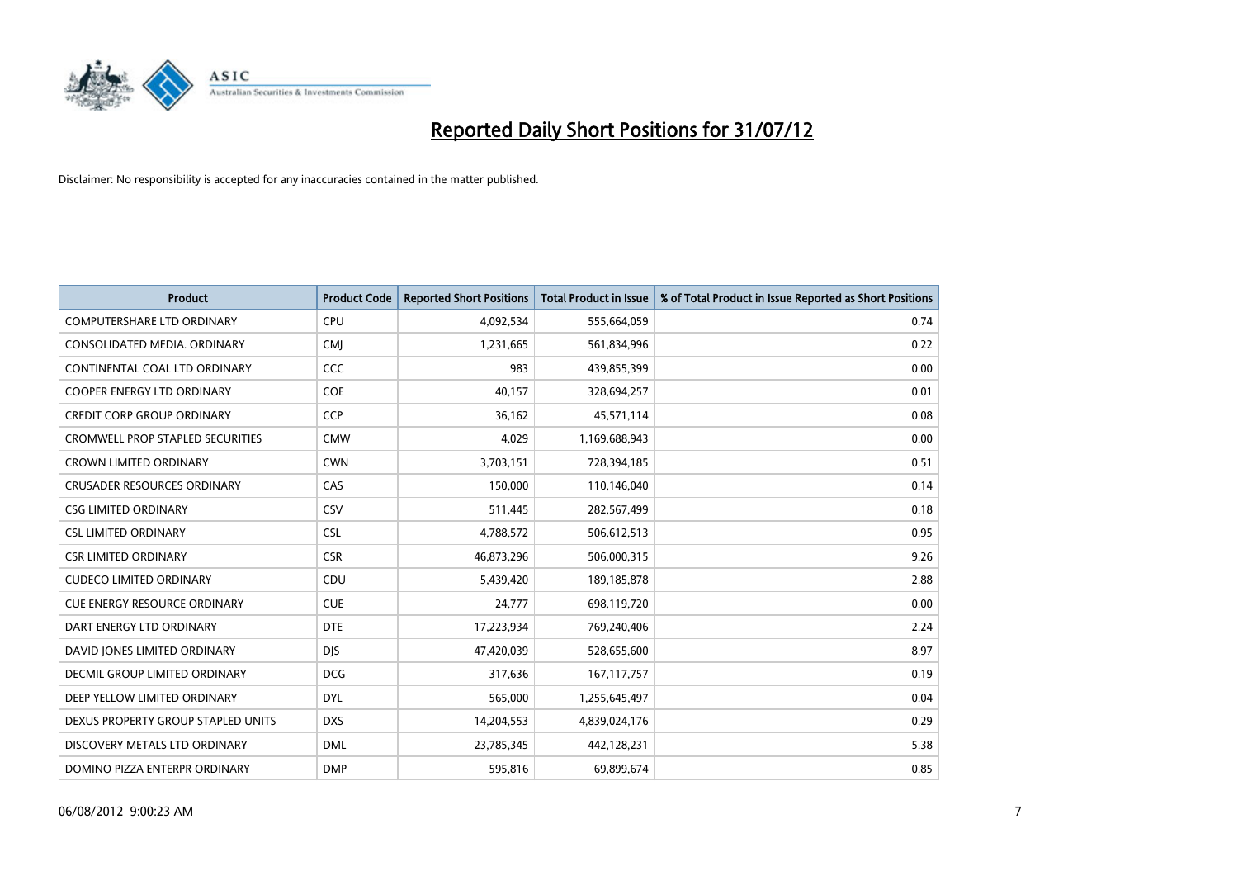

| <b>Product</b>                          | <b>Product Code</b> | <b>Reported Short Positions</b> | <b>Total Product in Issue</b> | % of Total Product in Issue Reported as Short Positions |
|-----------------------------------------|---------------------|---------------------------------|-------------------------------|---------------------------------------------------------|
| <b>COMPUTERSHARE LTD ORDINARY</b>       | CPU                 | 4,092,534                       | 555,664,059                   | 0.74                                                    |
| CONSOLIDATED MEDIA. ORDINARY            | <b>CMI</b>          | 1,231,665                       | 561,834,996                   | 0.22                                                    |
| CONTINENTAL COAL LTD ORDINARY           | CCC                 | 983                             | 439,855,399                   | 0.00                                                    |
| COOPER ENERGY LTD ORDINARY              | <b>COE</b>          | 40,157                          | 328,694,257                   | 0.01                                                    |
| <b>CREDIT CORP GROUP ORDINARY</b>       | <b>CCP</b>          | 36,162                          | 45,571,114                    | 0.08                                                    |
| <b>CROMWELL PROP STAPLED SECURITIES</b> | <b>CMW</b>          | 4,029                           | 1,169,688,943                 | 0.00                                                    |
| <b>CROWN LIMITED ORDINARY</b>           | <b>CWN</b>          | 3,703,151                       | 728,394,185                   | 0.51                                                    |
| <b>CRUSADER RESOURCES ORDINARY</b>      | CAS                 | 150,000                         | 110,146,040                   | 0.14                                                    |
| <b>CSG LIMITED ORDINARY</b>             | CSV                 | 511,445                         | 282,567,499                   | 0.18                                                    |
| <b>CSL LIMITED ORDINARY</b>             | <b>CSL</b>          | 4,788,572                       | 506,612,513                   | 0.95                                                    |
| <b>CSR LIMITED ORDINARY</b>             | <b>CSR</b>          | 46,873,296                      | 506,000,315                   | 9.26                                                    |
| <b>CUDECO LIMITED ORDINARY</b>          | CDU                 | 5,439,420                       | 189, 185, 878                 | 2.88                                                    |
| <b>CUE ENERGY RESOURCE ORDINARY</b>     | <b>CUE</b>          | 24,777                          | 698,119,720                   | 0.00                                                    |
| DART ENERGY LTD ORDINARY                | <b>DTE</b>          | 17,223,934                      | 769,240,406                   | 2.24                                                    |
| DAVID JONES LIMITED ORDINARY            | <b>DIS</b>          | 47,420,039                      | 528,655,600                   | 8.97                                                    |
| DECMIL GROUP LIMITED ORDINARY           | <b>DCG</b>          | 317,636                         | 167, 117, 757                 | 0.19                                                    |
| DEEP YELLOW LIMITED ORDINARY            | <b>DYL</b>          | 565,000                         | 1,255,645,497                 | 0.04                                                    |
| DEXUS PROPERTY GROUP STAPLED UNITS      | <b>DXS</b>          | 14,204,553                      | 4,839,024,176                 | 0.29                                                    |
| DISCOVERY METALS LTD ORDINARY           | <b>DML</b>          | 23,785,345                      | 442,128,231                   | 5.38                                                    |
| DOMINO PIZZA ENTERPR ORDINARY           | <b>DMP</b>          | 595,816                         | 69,899,674                    | 0.85                                                    |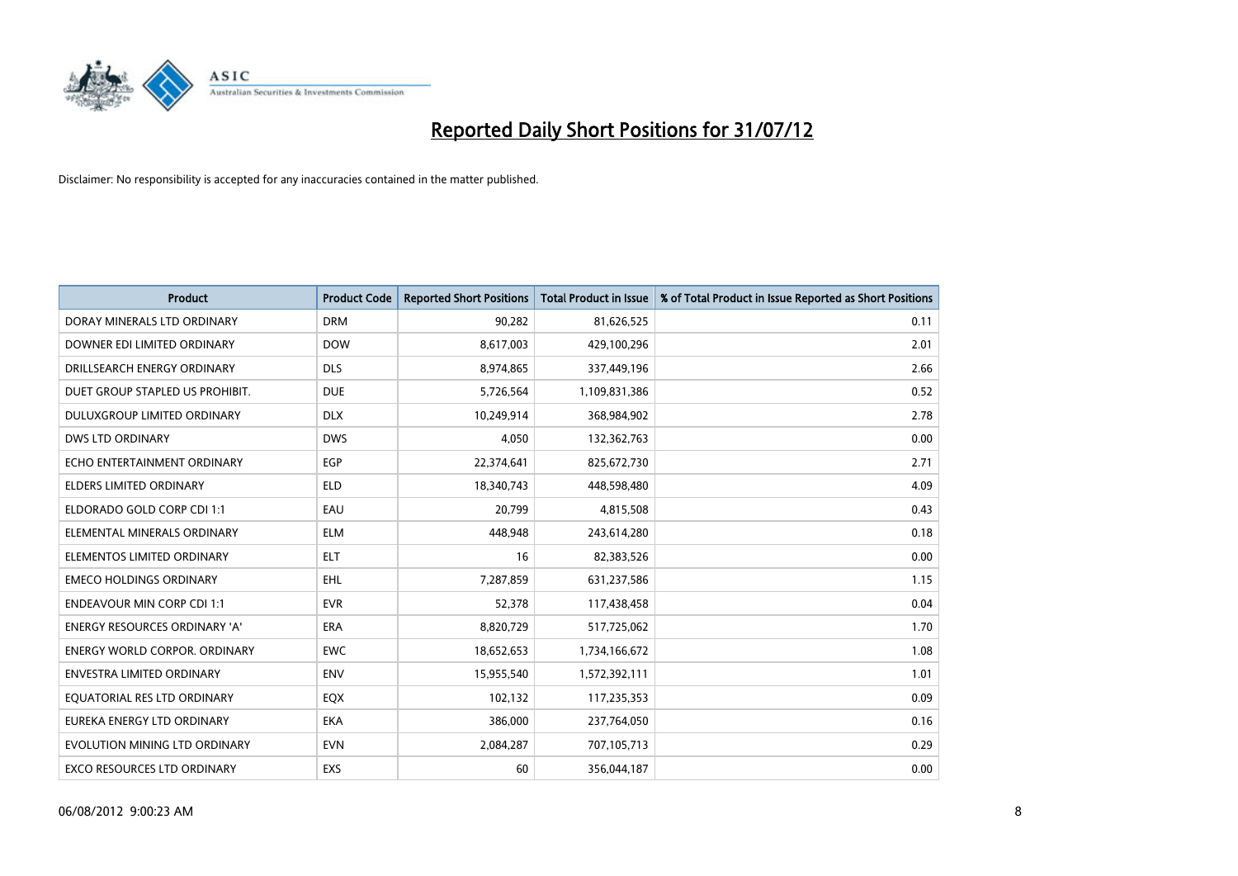

| <b>Product</b>                       | <b>Product Code</b> | <b>Reported Short Positions</b> | <b>Total Product in Issue</b> | % of Total Product in Issue Reported as Short Positions |
|--------------------------------------|---------------------|---------------------------------|-------------------------------|---------------------------------------------------------|
| DORAY MINERALS LTD ORDINARY          | <b>DRM</b>          | 90,282                          | 81,626,525                    | 0.11                                                    |
| DOWNER EDI LIMITED ORDINARY          | <b>DOW</b>          | 8,617,003                       | 429,100,296                   | 2.01                                                    |
| DRILLSEARCH ENERGY ORDINARY          | <b>DLS</b>          | 8,974,865                       | 337,449,196                   | 2.66                                                    |
| DUET GROUP STAPLED US PROHIBIT.      | <b>DUE</b>          | 5,726,564                       | 1,109,831,386                 | 0.52                                                    |
| DULUXGROUP LIMITED ORDINARY          | <b>DLX</b>          | 10,249,914                      | 368,984,902                   | 2.78                                                    |
| <b>DWS LTD ORDINARY</b>              | <b>DWS</b>          | 4,050                           | 132,362,763                   | 0.00                                                    |
| ECHO ENTERTAINMENT ORDINARY          | <b>EGP</b>          | 22,374,641                      | 825,672,730                   | 2.71                                                    |
| <b>ELDERS LIMITED ORDINARY</b>       | <b>ELD</b>          | 18,340,743                      | 448,598,480                   | 4.09                                                    |
| ELDORADO GOLD CORP CDI 1:1           | EAU                 | 20,799                          | 4,815,508                     | 0.43                                                    |
| ELEMENTAL MINERALS ORDINARY          | <b>ELM</b>          | 448.948                         | 243,614,280                   | 0.18                                                    |
| ELEMENTOS LIMITED ORDINARY           | <b>ELT</b>          | 16                              | 82,383,526                    | 0.00                                                    |
| <b>EMECO HOLDINGS ORDINARY</b>       | <b>EHL</b>          | 7,287,859                       | 631,237,586                   | 1.15                                                    |
| <b>ENDEAVOUR MIN CORP CDI 1:1</b>    | <b>EVR</b>          | 52,378                          | 117,438,458                   | 0.04                                                    |
| <b>ENERGY RESOURCES ORDINARY 'A'</b> | <b>ERA</b>          | 8,820,729                       | 517,725,062                   | 1.70                                                    |
| <b>ENERGY WORLD CORPOR, ORDINARY</b> | <b>EWC</b>          | 18,652,653                      | 1,734,166,672                 | 1.08                                                    |
| <b>ENVESTRA LIMITED ORDINARY</b>     | <b>ENV</b>          | 15,955,540                      | 1,572,392,111                 | 1.01                                                    |
| EQUATORIAL RES LTD ORDINARY          | <b>EQX</b>          | 102,132                         | 117,235,353                   | 0.09                                                    |
| EUREKA ENERGY LTD ORDINARY           | <b>EKA</b>          | 386,000                         | 237,764,050                   | 0.16                                                    |
| EVOLUTION MINING LTD ORDINARY        | <b>EVN</b>          | 2,084,287                       | 707,105,713                   | 0.29                                                    |
| EXCO RESOURCES LTD ORDINARY          | <b>EXS</b>          | 60                              | 356,044,187                   | 0.00                                                    |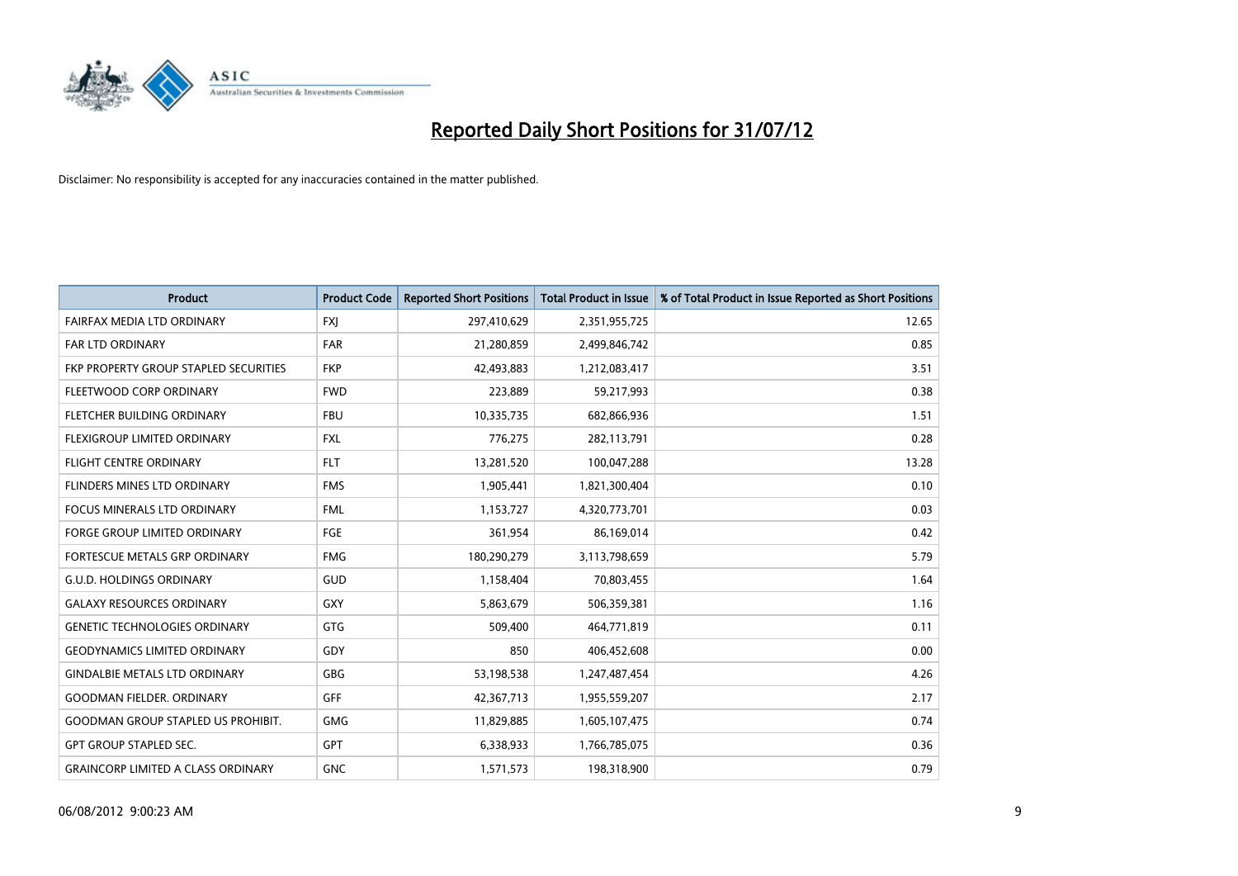

| <b>Product</b>                               | <b>Product Code</b> | <b>Reported Short Positions</b> | <b>Total Product in Issue</b> | % of Total Product in Issue Reported as Short Positions |
|----------------------------------------------|---------------------|---------------------------------|-------------------------------|---------------------------------------------------------|
| FAIRFAX MEDIA LTD ORDINARY                   | <b>FXI</b>          | 297,410,629                     | 2,351,955,725                 | 12.65                                                   |
| FAR LTD ORDINARY                             | <b>FAR</b>          | 21,280,859                      | 2,499,846,742                 | 0.85                                                    |
| <b>FKP PROPERTY GROUP STAPLED SECURITIES</b> | <b>FKP</b>          | 42,493,883                      | 1,212,083,417                 | 3.51                                                    |
| FLEETWOOD CORP ORDINARY                      | <b>FWD</b>          | 223,889                         | 59,217,993                    | 0.38                                                    |
| FLETCHER BUILDING ORDINARY                   | <b>FBU</b>          | 10,335,735                      | 682,866,936                   | 1.51                                                    |
| FLEXIGROUP LIMITED ORDINARY                  | <b>FXL</b>          | 776,275                         | 282,113,791                   | 0.28                                                    |
| <b>FLIGHT CENTRE ORDINARY</b>                | <b>FLT</b>          | 13,281,520                      | 100,047,288                   | 13.28                                                   |
| FLINDERS MINES LTD ORDINARY                  | <b>FMS</b>          | 1,905,441                       | 1,821,300,404                 | 0.10                                                    |
| FOCUS MINERALS LTD ORDINARY                  | <b>FML</b>          | 1,153,727                       | 4,320,773,701                 | 0.03                                                    |
| <b>FORGE GROUP LIMITED ORDINARY</b>          | FGE                 | 361,954                         | 86,169,014                    | 0.42                                                    |
| <b>FORTESCUE METALS GRP ORDINARY</b>         | <b>FMG</b>          | 180,290,279                     | 3,113,798,659                 | 5.79                                                    |
| <b>G.U.D. HOLDINGS ORDINARY</b>              | GUD                 | 1,158,404                       | 70,803,455                    | 1.64                                                    |
| <b>GALAXY RESOURCES ORDINARY</b>             | GXY                 | 5,863,679                       | 506,359,381                   | 1.16                                                    |
| <b>GENETIC TECHNOLOGIES ORDINARY</b>         | GTG                 | 509,400                         | 464,771,819                   | 0.11                                                    |
| <b>GEODYNAMICS LIMITED ORDINARY</b>          | GDY                 | 850                             | 406,452,608                   | 0.00                                                    |
| <b>GINDALBIE METALS LTD ORDINARY</b>         | GBG                 | 53,198,538                      | 1,247,487,454                 | 4.26                                                    |
| <b>GOODMAN FIELDER, ORDINARY</b>             | <b>GFF</b>          | 42,367,713                      | 1,955,559,207                 | 2.17                                                    |
| <b>GOODMAN GROUP STAPLED US PROHIBIT.</b>    | <b>GMG</b>          | 11,829,885                      | 1,605,107,475                 | 0.74                                                    |
| <b>GPT GROUP STAPLED SEC.</b>                | <b>GPT</b>          | 6,338,933                       | 1,766,785,075                 | 0.36                                                    |
| <b>GRAINCORP LIMITED A CLASS ORDINARY</b>    | <b>GNC</b>          | 1,571,573                       | 198,318,900                   | 0.79                                                    |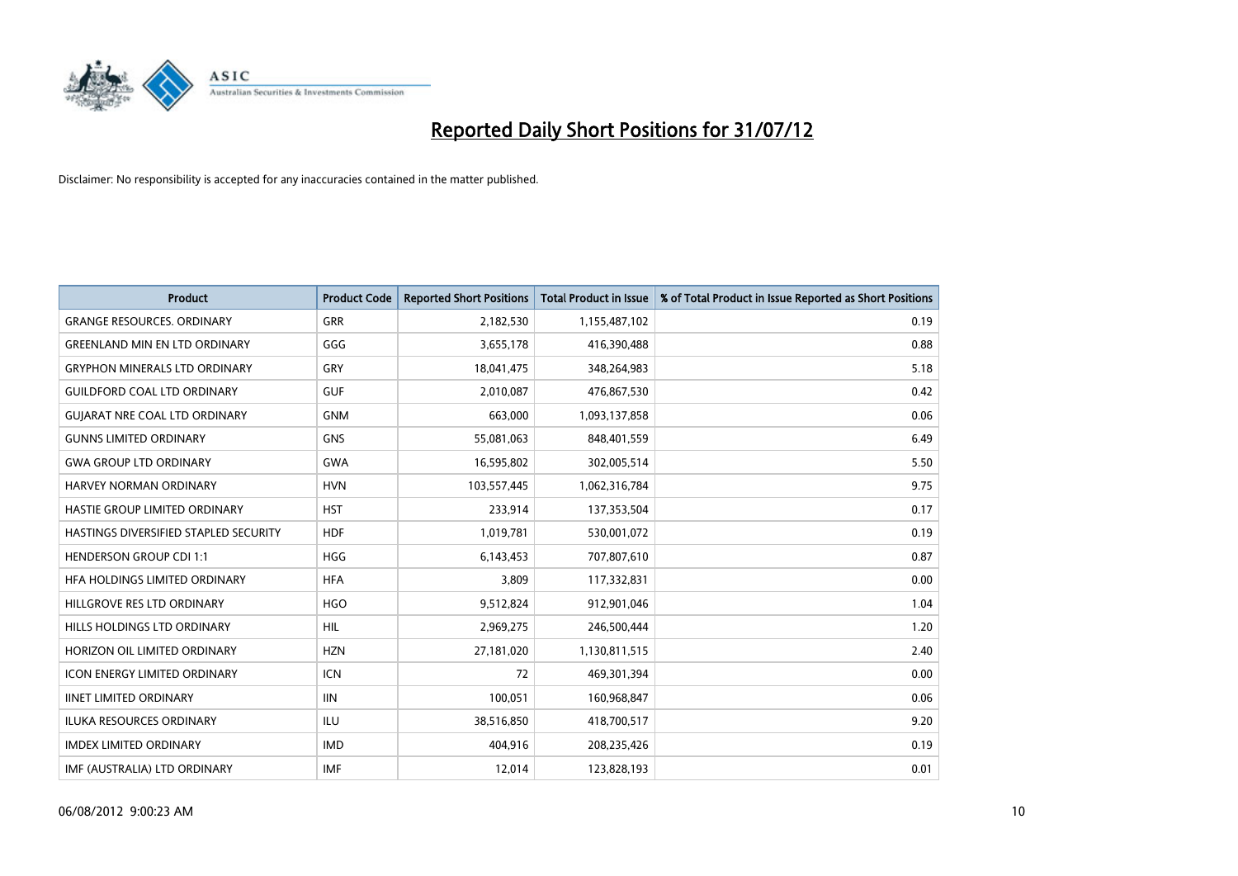

| <b>Product</b>                        | <b>Product Code</b> | <b>Reported Short Positions</b> | <b>Total Product in Issue</b> | % of Total Product in Issue Reported as Short Positions |
|---------------------------------------|---------------------|---------------------------------|-------------------------------|---------------------------------------------------------|
| <b>GRANGE RESOURCES, ORDINARY</b>     | <b>GRR</b>          | 2,182,530                       | 1,155,487,102                 | 0.19                                                    |
| <b>GREENLAND MIN EN LTD ORDINARY</b>  | GGG                 | 3,655,178                       | 416,390,488                   | 0.88                                                    |
| <b>GRYPHON MINERALS LTD ORDINARY</b>  | GRY                 | 18,041,475                      | 348,264,983                   | 5.18                                                    |
| <b>GUILDFORD COAL LTD ORDINARY</b>    | <b>GUF</b>          | 2,010,087                       | 476,867,530                   | 0.42                                                    |
| <b>GUIARAT NRE COAL LTD ORDINARY</b>  | <b>GNM</b>          | 663.000                         | 1,093,137,858                 | 0.06                                                    |
| <b>GUNNS LIMITED ORDINARY</b>         | <b>GNS</b>          | 55,081,063                      | 848,401,559                   | 6.49                                                    |
| <b>GWA GROUP LTD ORDINARY</b>         | <b>GWA</b>          | 16,595,802                      | 302,005,514                   | 5.50                                                    |
| <b>HARVEY NORMAN ORDINARY</b>         | <b>HVN</b>          | 103,557,445                     | 1,062,316,784                 | 9.75                                                    |
| HASTIE GROUP LIMITED ORDINARY         | <b>HST</b>          | 233,914                         | 137,353,504                   | 0.17                                                    |
| HASTINGS DIVERSIFIED STAPLED SECURITY | <b>HDF</b>          | 1,019,781                       | 530,001,072                   | 0.19                                                    |
| <b>HENDERSON GROUP CDI 1:1</b>        | <b>HGG</b>          | 6,143,453                       | 707,807,610                   | 0.87                                                    |
| HFA HOLDINGS LIMITED ORDINARY         | <b>HFA</b>          | 3,809                           | 117,332,831                   | 0.00                                                    |
| HILLGROVE RES LTD ORDINARY            | <b>HGO</b>          | 9,512,824                       | 912,901,046                   | 1.04                                                    |
| HILLS HOLDINGS LTD ORDINARY           | <b>HIL</b>          | 2,969,275                       | 246,500,444                   | 1.20                                                    |
| HORIZON OIL LIMITED ORDINARY          | <b>HZN</b>          | 27,181,020                      | 1,130,811,515                 | 2.40                                                    |
| <b>ICON ENERGY LIMITED ORDINARY</b>   | <b>ICN</b>          | 72                              | 469,301,394                   | 0.00                                                    |
| <b>IINET LIMITED ORDINARY</b>         | <b>IIN</b>          | 100,051                         | 160,968,847                   | 0.06                                                    |
| ILUKA RESOURCES ORDINARY              | ILU                 | 38,516,850                      | 418,700,517                   | 9.20                                                    |
| <b>IMDEX LIMITED ORDINARY</b>         | <b>IMD</b>          | 404,916                         | 208,235,426                   | 0.19                                                    |
| IMF (AUSTRALIA) LTD ORDINARY          | <b>IMF</b>          | 12,014                          | 123,828,193                   | 0.01                                                    |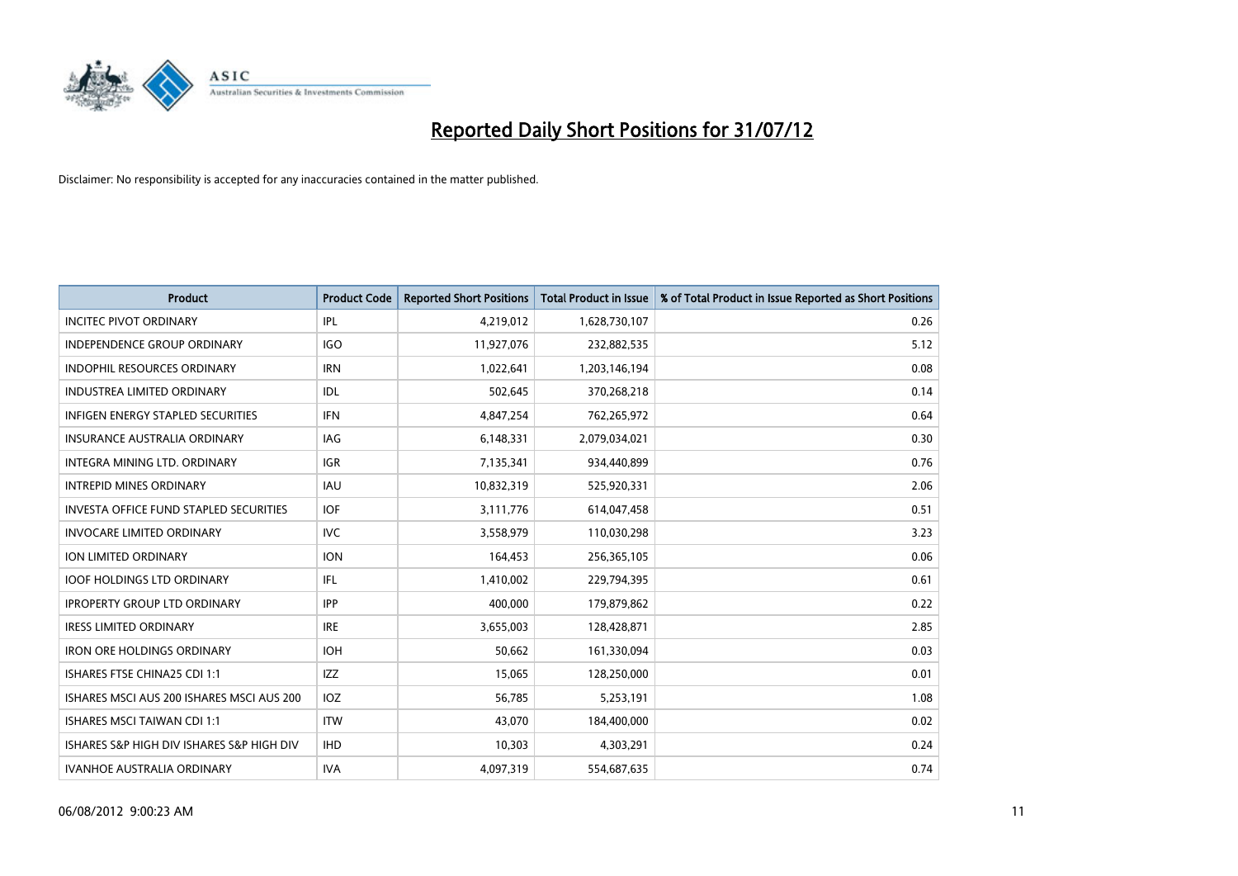

| <b>Product</b>                            | <b>Product Code</b> | <b>Reported Short Positions</b> | <b>Total Product in Issue</b> | % of Total Product in Issue Reported as Short Positions |
|-------------------------------------------|---------------------|---------------------------------|-------------------------------|---------------------------------------------------------|
| <b>INCITEC PIVOT ORDINARY</b>             | IPL                 | 4,219,012                       | 1,628,730,107                 | 0.26                                                    |
| <b>INDEPENDENCE GROUP ORDINARY</b>        | <b>IGO</b>          | 11,927,076                      | 232,882,535                   | 5.12                                                    |
| <b>INDOPHIL RESOURCES ORDINARY</b>        | <b>IRN</b>          | 1,022,641                       | 1,203,146,194                 | 0.08                                                    |
| <b>INDUSTREA LIMITED ORDINARY</b>         | <b>IDL</b>          | 502,645                         | 370,268,218                   | 0.14                                                    |
| <b>INFIGEN ENERGY STAPLED SECURITIES</b>  | <b>IFN</b>          | 4,847,254                       | 762,265,972                   | 0.64                                                    |
| <b>INSURANCE AUSTRALIA ORDINARY</b>       | IAG                 | 6,148,331                       | 2,079,034,021                 | 0.30                                                    |
| INTEGRA MINING LTD, ORDINARY              | <b>IGR</b>          | 7,135,341                       | 934,440,899                   | 0.76                                                    |
| <b>INTREPID MINES ORDINARY</b>            | <b>IAU</b>          | 10,832,319                      | 525,920,331                   | 2.06                                                    |
| INVESTA OFFICE FUND STAPLED SECURITIES    | <b>IOF</b>          | 3,111,776                       | 614,047,458                   | 0.51                                                    |
| <b>INVOCARE LIMITED ORDINARY</b>          | IVC                 | 3,558,979                       | 110,030,298                   | 3.23                                                    |
| ION LIMITED ORDINARY                      | <b>ION</b>          | 164,453                         | 256,365,105                   | 0.06                                                    |
| <b>IOOF HOLDINGS LTD ORDINARY</b>         | IFL                 | 1,410,002                       | 229,794,395                   | 0.61                                                    |
| <b>IPROPERTY GROUP LTD ORDINARY</b>       | <b>IPP</b>          | 400,000                         | 179,879,862                   | 0.22                                                    |
| <b>IRESS LIMITED ORDINARY</b>             | <b>IRE</b>          | 3,655,003                       | 128,428,871                   | 2.85                                                    |
| <b>IRON ORE HOLDINGS ORDINARY</b>         | <b>IOH</b>          | 50,662                          | 161,330,094                   | 0.03                                                    |
| ISHARES FTSE CHINA25 CDI 1:1              | <b>IZZ</b>          | 15,065                          | 128,250,000                   | 0.01                                                    |
| ISHARES MSCI AUS 200 ISHARES MSCI AUS 200 | <b>IOZ</b>          | 56,785                          | 5,253,191                     | 1.08                                                    |
| ISHARES MSCI TAIWAN CDI 1:1               | <b>ITW</b>          | 43,070                          | 184,400,000                   | 0.02                                                    |
| ISHARES S&P HIGH DIV ISHARES S&P HIGH DIV | <b>IHD</b>          | 10,303                          | 4,303,291                     | 0.24                                                    |
| <b>IVANHOE AUSTRALIA ORDINARY</b>         | <b>IVA</b>          | 4,097,319                       | 554,687,635                   | 0.74                                                    |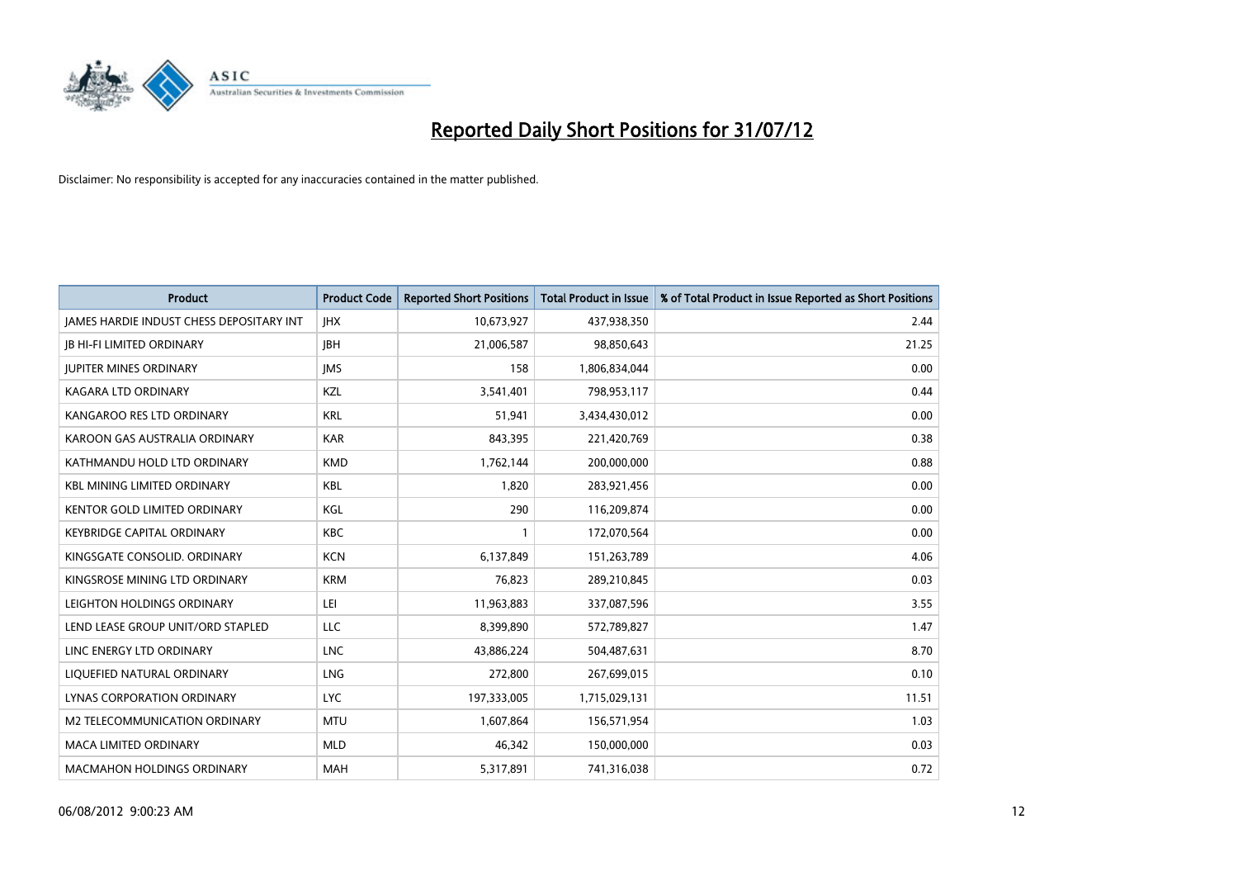

| <b>Product</b>                                  | <b>Product Code</b> | <b>Reported Short Positions</b> | <b>Total Product in Issue</b> | % of Total Product in Issue Reported as Short Positions |
|-------------------------------------------------|---------------------|---------------------------------|-------------------------------|---------------------------------------------------------|
| <b>IAMES HARDIE INDUST CHESS DEPOSITARY INT</b> | <b>IHX</b>          | 10,673,927                      | 437,938,350                   | 2.44                                                    |
| <b>IB HI-FI LIMITED ORDINARY</b>                | <b>IBH</b>          | 21,006,587                      | 98,850,643                    | 21.25                                                   |
| <b>IUPITER MINES ORDINARY</b>                   | <b>IMS</b>          | 158                             | 1,806,834,044                 | 0.00                                                    |
| <b>KAGARA LTD ORDINARY</b>                      | KZL                 | 3,541,401                       | 798,953,117                   | 0.44                                                    |
| KANGAROO RES LTD ORDINARY                       | <b>KRL</b>          | 51,941                          | 3,434,430,012                 | 0.00                                                    |
| KAROON GAS AUSTRALIA ORDINARY                   | <b>KAR</b>          | 843,395                         | 221,420,769                   | 0.38                                                    |
| KATHMANDU HOLD LTD ORDINARY                     | <b>KMD</b>          | 1,762,144                       | 200,000,000                   | 0.88                                                    |
| <b>KBL MINING LIMITED ORDINARY</b>              | <b>KBL</b>          | 1,820                           | 283,921,456                   | 0.00                                                    |
| <b>KENTOR GOLD LIMITED ORDINARY</b>             | KGL                 | 290                             | 116,209,874                   | 0.00                                                    |
| <b>KEYBRIDGE CAPITAL ORDINARY</b>               | <b>KBC</b>          |                                 | 172,070,564                   | 0.00                                                    |
| KINGSGATE CONSOLID. ORDINARY                    | <b>KCN</b>          | 6,137,849                       | 151,263,789                   | 4.06                                                    |
| KINGSROSE MINING LTD ORDINARY                   | <b>KRM</b>          | 76,823                          | 289,210,845                   | 0.03                                                    |
| LEIGHTON HOLDINGS ORDINARY                      | LEI                 | 11,963,883                      | 337,087,596                   | 3.55                                                    |
| LEND LEASE GROUP UNIT/ORD STAPLED               | <b>LLC</b>          | 8,399,890                       | 572,789,827                   | 1.47                                                    |
| LINC ENERGY LTD ORDINARY                        | <b>LNC</b>          | 43,886,224                      | 504,487,631                   | 8.70                                                    |
| LIQUEFIED NATURAL ORDINARY                      | LNG                 | 272,800                         | 267,699,015                   | 0.10                                                    |
| LYNAS CORPORATION ORDINARY                      | <b>LYC</b>          | 197,333,005                     | 1,715,029,131                 | 11.51                                                   |
| M2 TELECOMMUNICATION ORDINARY                   | <b>MTU</b>          | 1,607,864                       | 156,571,954                   | 1.03                                                    |
| <b>MACA LIMITED ORDINARY</b>                    | <b>MLD</b>          | 46,342                          | 150,000,000                   | 0.03                                                    |
| <b>MACMAHON HOLDINGS ORDINARY</b>               | <b>MAH</b>          | 5,317,891                       | 741,316,038                   | 0.72                                                    |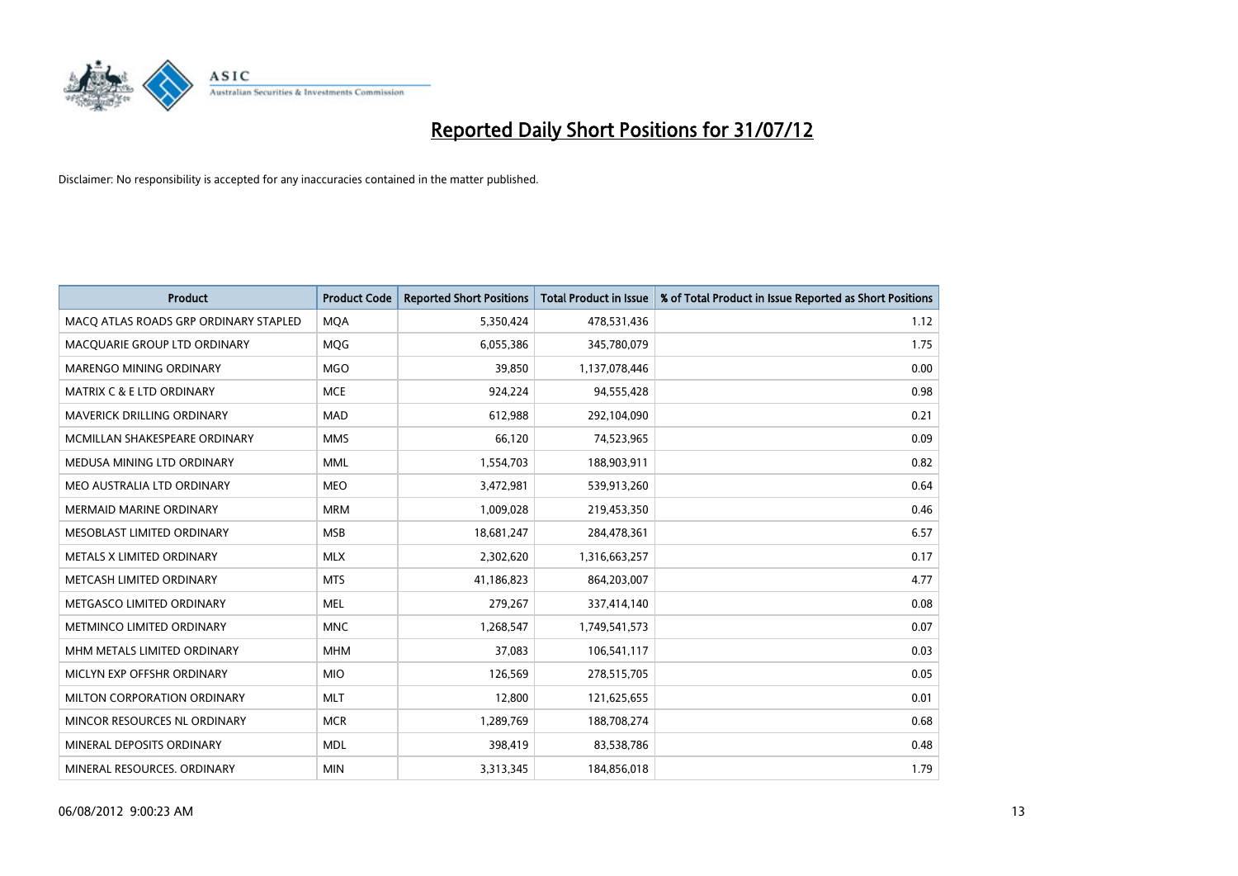

| <b>Product</b>                        | <b>Product Code</b> | <b>Reported Short Positions</b> | <b>Total Product in Issue</b> | % of Total Product in Issue Reported as Short Positions |
|---------------------------------------|---------------------|---------------------------------|-------------------------------|---------------------------------------------------------|
| MACQ ATLAS ROADS GRP ORDINARY STAPLED | <b>MQA</b>          | 5,350,424                       | 478,531,436                   | 1.12                                                    |
| MACQUARIE GROUP LTD ORDINARY          | <b>MOG</b>          | 6,055,386                       | 345,780,079                   | 1.75                                                    |
| <b>MARENGO MINING ORDINARY</b>        | <b>MGO</b>          | 39,850                          | 1,137,078,446                 | 0.00                                                    |
| MATRIX C & E LTD ORDINARY             | <b>MCE</b>          | 924,224                         | 94,555,428                    | 0.98                                                    |
| MAVERICK DRILLING ORDINARY            | <b>MAD</b>          | 612,988                         | 292,104,090                   | 0.21                                                    |
| MCMILLAN SHAKESPEARE ORDINARY         | <b>MMS</b>          | 66,120                          | 74,523,965                    | 0.09                                                    |
| MEDUSA MINING LTD ORDINARY            | <b>MML</b>          | 1,554,703                       | 188,903,911                   | 0.82                                                    |
| MEO AUSTRALIA LTD ORDINARY            | <b>MEO</b>          | 3,472,981                       | 539,913,260                   | 0.64                                                    |
| MERMAID MARINE ORDINARY               | <b>MRM</b>          | 1,009,028                       | 219,453,350                   | 0.46                                                    |
| MESOBLAST LIMITED ORDINARY            | <b>MSB</b>          | 18,681,247                      | 284,478,361                   | 6.57                                                    |
| <b>METALS X LIMITED ORDINARY</b>      | <b>MLX</b>          | 2,302,620                       | 1,316,663,257                 | 0.17                                                    |
| METCASH LIMITED ORDINARY              | <b>MTS</b>          | 41,186,823                      | 864,203,007                   | 4.77                                                    |
| METGASCO LIMITED ORDINARY             | <b>MEL</b>          | 279,267                         | 337,414,140                   | 0.08                                                    |
| METMINCO LIMITED ORDINARY             | <b>MNC</b>          | 1,268,547                       | 1,749,541,573                 | 0.07                                                    |
| MHM METALS LIMITED ORDINARY           | <b>MHM</b>          | 37,083                          | 106,541,117                   | 0.03                                                    |
| MICLYN EXP OFFSHR ORDINARY            | <b>MIO</b>          | 126,569                         | 278,515,705                   | 0.05                                                    |
| MILTON CORPORATION ORDINARY           | <b>MLT</b>          | 12,800                          | 121,625,655                   | 0.01                                                    |
| MINCOR RESOURCES NL ORDINARY          | <b>MCR</b>          | 1,289,769                       | 188,708,274                   | 0.68                                                    |
| MINERAL DEPOSITS ORDINARY             | <b>MDL</b>          | 398,419                         | 83,538,786                    | 0.48                                                    |
| MINERAL RESOURCES, ORDINARY           | <b>MIN</b>          | 3,313,345                       | 184,856,018                   | 1.79                                                    |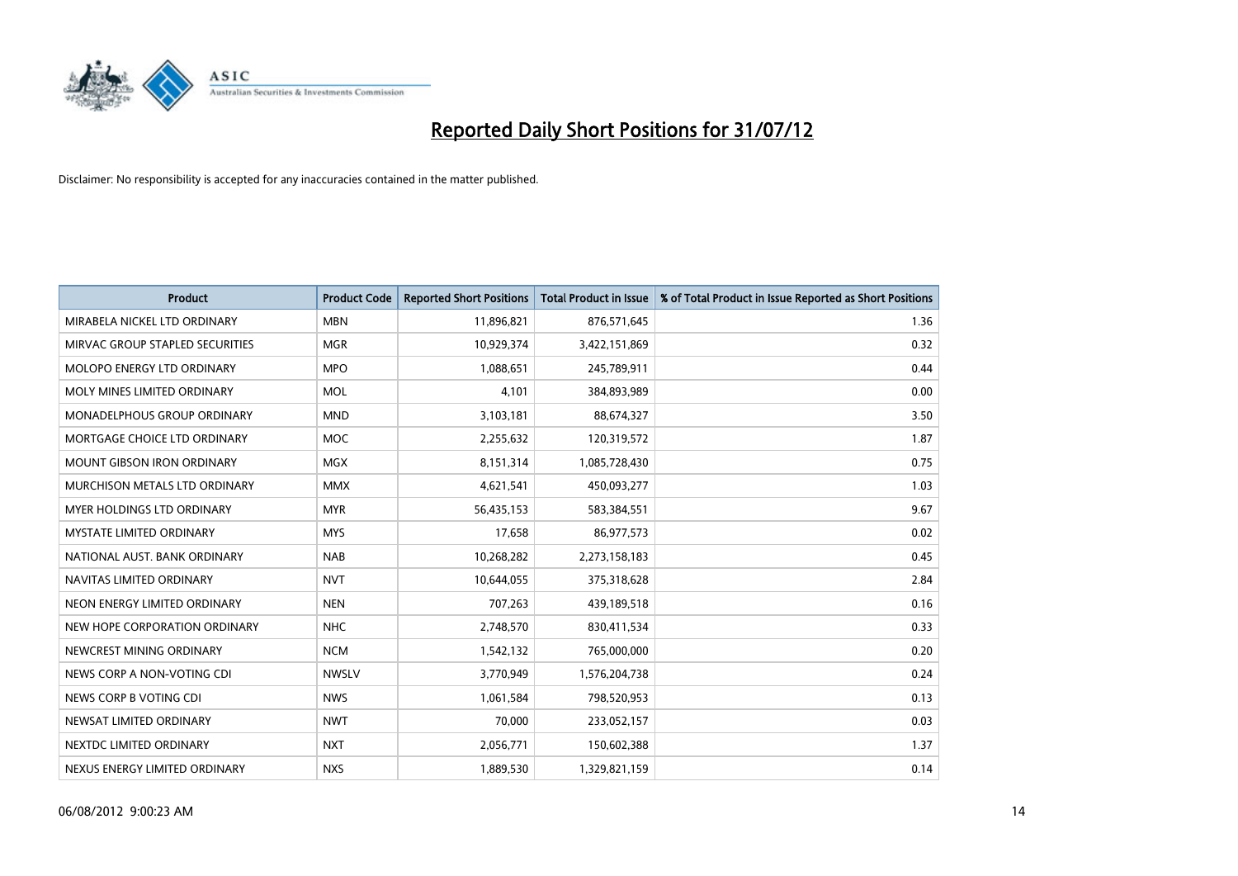

| <b>Product</b>                       | <b>Product Code</b> | <b>Reported Short Positions</b> | <b>Total Product in Issue</b> | % of Total Product in Issue Reported as Short Positions |
|--------------------------------------|---------------------|---------------------------------|-------------------------------|---------------------------------------------------------|
| MIRABELA NICKEL LTD ORDINARY         | <b>MBN</b>          | 11,896,821                      | 876,571,645                   | 1.36                                                    |
| MIRVAC GROUP STAPLED SECURITIES      | <b>MGR</b>          | 10,929,374                      | 3,422,151,869                 | 0.32                                                    |
| <b>MOLOPO ENERGY LTD ORDINARY</b>    | <b>MPO</b>          | 1,088,651                       | 245,789,911                   | 0.44                                                    |
| MOLY MINES LIMITED ORDINARY          | <b>MOL</b>          | 4,101                           | 384,893,989                   | 0.00                                                    |
| <b>MONADELPHOUS GROUP ORDINARY</b>   | <b>MND</b>          | 3,103,181                       | 88,674,327                    | 3.50                                                    |
| MORTGAGE CHOICE LTD ORDINARY         | <b>MOC</b>          | 2,255,632                       | 120,319,572                   | 1.87                                                    |
| <b>MOUNT GIBSON IRON ORDINARY</b>    | <b>MGX</b>          | 8,151,314                       | 1,085,728,430                 | 0.75                                                    |
| <b>MURCHISON METALS LTD ORDINARY</b> | <b>MMX</b>          | 4,621,541                       | 450,093,277                   | 1.03                                                    |
| MYER HOLDINGS LTD ORDINARY           | <b>MYR</b>          | 56,435,153                      | 583,384,551                   | 9.67                                                    |
| <b>MYSTATE LIMITED ORDINARY</b>      | <b>MYS</b>          | 17,658                          | 86,977,573                    | 0.02                                                    |
| NATIONAL AUST. BANK ORDINARY         | <b>NAB</b>          | 10,268,282                      | 2,273,158,183                 | 0.45                                                    |
| NAVITAS LIMITED ORDINARY             | <b>NVT</b>          | 10,644,055                      | 375,318,628                   | 2.84                                                    |
| NEON ENERGY LIMITED ORDINARY         | <b>NEN</b>          | 707,263                         | 439,189,518                   | 0.16                                                    |
| NEW HOPE CORPORATION ORDINARY        | <b>NHC</b>          | 2,748,570                       | 830,411,534                   | 0.33                                                    |
| NEWCREST MINING ORDINARY             | <b>NCM</b>          | 1,542,132                       | 765,000,000                   | 0.20                                                    |
| NEWS CORP A NON-VOTING CDI           | <b>NWSLV</b>        | 3,770,949                       | 1,576,204,738                 | 0.24                                                    |
| NEWS CORP B VOTING CDI               | <b>NWS</b>          | 1,061,584                       | 798,520,953                   | 0.13                                                    |
| NEWSAT LIMITED ORDINARY              | <b>NWT</b>          | 70,000                          | 233,052,157                   | 0.03                                                    |
| NEXTDC LIMITED ORDINARY              | <b>NXT</b>          | 2,056,771                       | 150,602,388                   | 1.37                                                    |
| NEXUS ENERGY LIMITED ORDINARY        | <b>NXS</b>          | 1,889,530                       | 1,329,821,159                 | 0.14                                                    |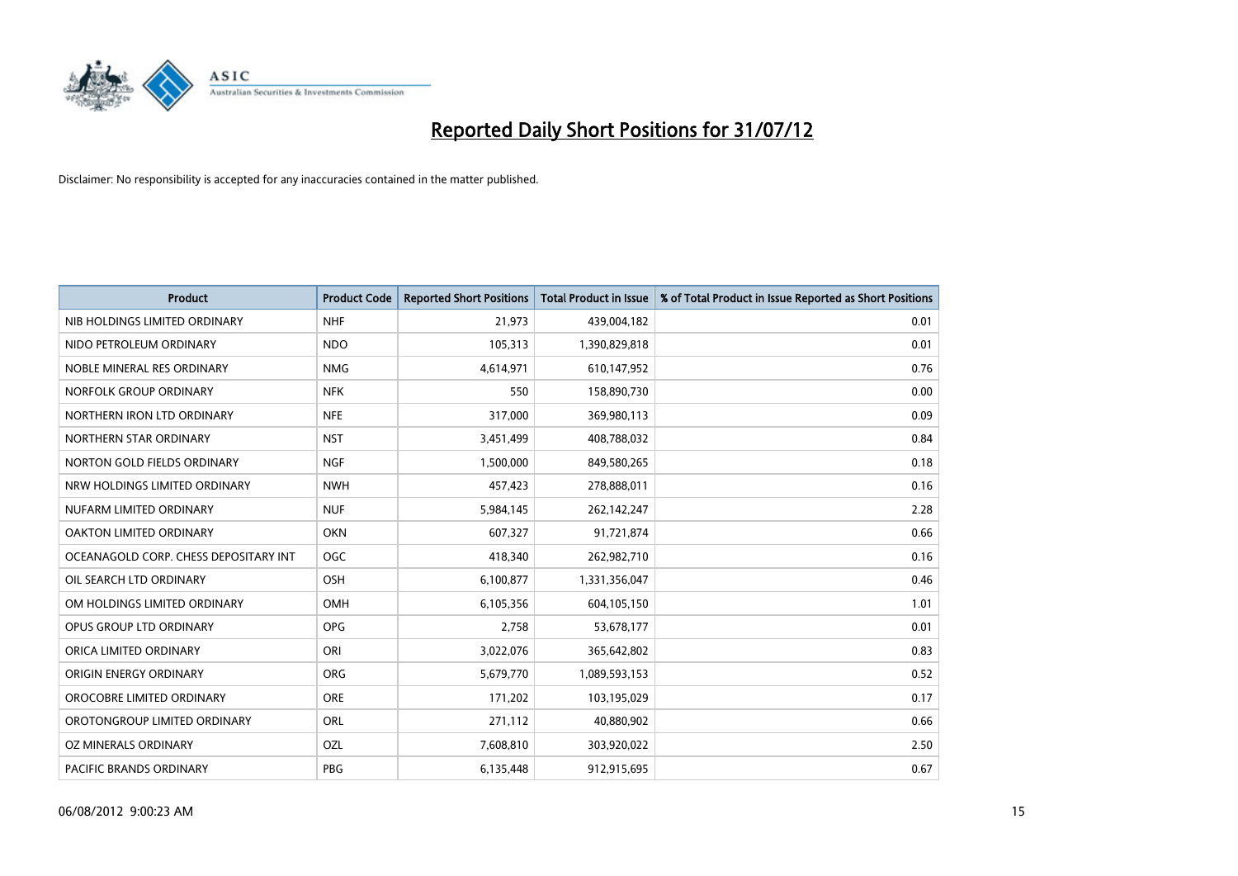

| <b>Product</b>                        | <b>Product Code</b> | <b>Reported Short Positions</b> | <b>Total Product in Issue</b> | % of Total Product in Issue Reported as Short Positions |
|---------------------------------------|---------------------|---------------------------------|-------------------------------|---------------------------------------------------------|
| NIB HOLDINGS LIMITED ORDINARY         | <b>NHF</b>          | 21,973                          | 439,004,182                   | 0.01                                                    |
| NIDO PETROLEUM ORDINARY               | <b>NDO</b>          | 105,313                         | 1,390,829,818                 | 0.01                                                    |
| NOBLE MINERAL RES ORDINARY            | <b>NMG</b>          | 4,614,971                       | 610,147,952                   | 0.76                                                    |
| NORFOLK GROUP ORDINARY                | <b>NFK</b>          | 550                             | 158,890,730                   | 0.00                                                    |
| NORTHERN IRON LTD ORDINARY            | <b>NFE</b>          | 317,000                         | 369,980,113                   | 0.09                                                    |
| NORTHERN STAR ORDINARY                | <b>NST</b>          | 3,451,499                       | 408,788,032                   | 0.84                                                    |
| NORTON GOLD FIELDS ORDINARY           | <b>NGF</b>          | 1,500,000                       | 849,580,265                   | 0.18                                                    |
| NRW HOLDINGS LIMITED ORDINARY         | <b>NWH</b>          | 457,423                         | 278,888,011                   | 0.16                                                    |
| NUFARM LIMITED ORDINARY               | <b>NUF</b>          | 5,984,145                       | 262,142,247                   | 2.28                                                    |
| <b>OAKTON LIMITED ORDINARY</b>        | <b>OKN</b>          | 607,327                         | 91,721,874                    | 0.66                                                    |
| OCEANAGOLD CORP. CHESS DEPOSITARY INT | OGC                 | 418,340                         | 262,982,710                   | 0.16                                                    |
| OIL SEARCH LTD ORDINARY               | <b>OSH</b>          | 6,100,877                       | 1,331,356,047                 | 0.46                                                    |
| OM HOLDINGS LIMITED ORDINARY          | OMH                 | 6,105,356                       | 604,105,150                   | 1.01                                                    |
| <b>OPUS GROUP LTD ORDINARY</b>        | <b>OPG</b>          | 2,758                           | 53,678,177                    | 0.01                                                    |
| ORICA LIMITED ORDINARY                | ORI                 | 3,022,076                       | 365,642,802                   | 0.83                                                    |
| ORIGIN ENERGY ORDINARY                | <b>ORG</b>          | 5,679,770                       | 1,089,593,153                 | 0.52                                                    |
| OROCOBRE LIMITED ORDINARY             | <b>ORE</b>          | 171,202                         | 103,195,029                   | 0.17                                                    |
| OROTONGROUP LIMITED ORDINARY          | <b>ORL</b>          | 271,112                         | 40,880,902                    | 0.66                                                    |
| OZ MINERALS ORDINARY                  | OZL                 | 7,608,810                       | 303,920,022                   | 2.50                                                    |
| PACIFIC BRANDS ORDINARY               | PBG                 | 6,135,448                       | 912,915,695                   | 0.67                                                    |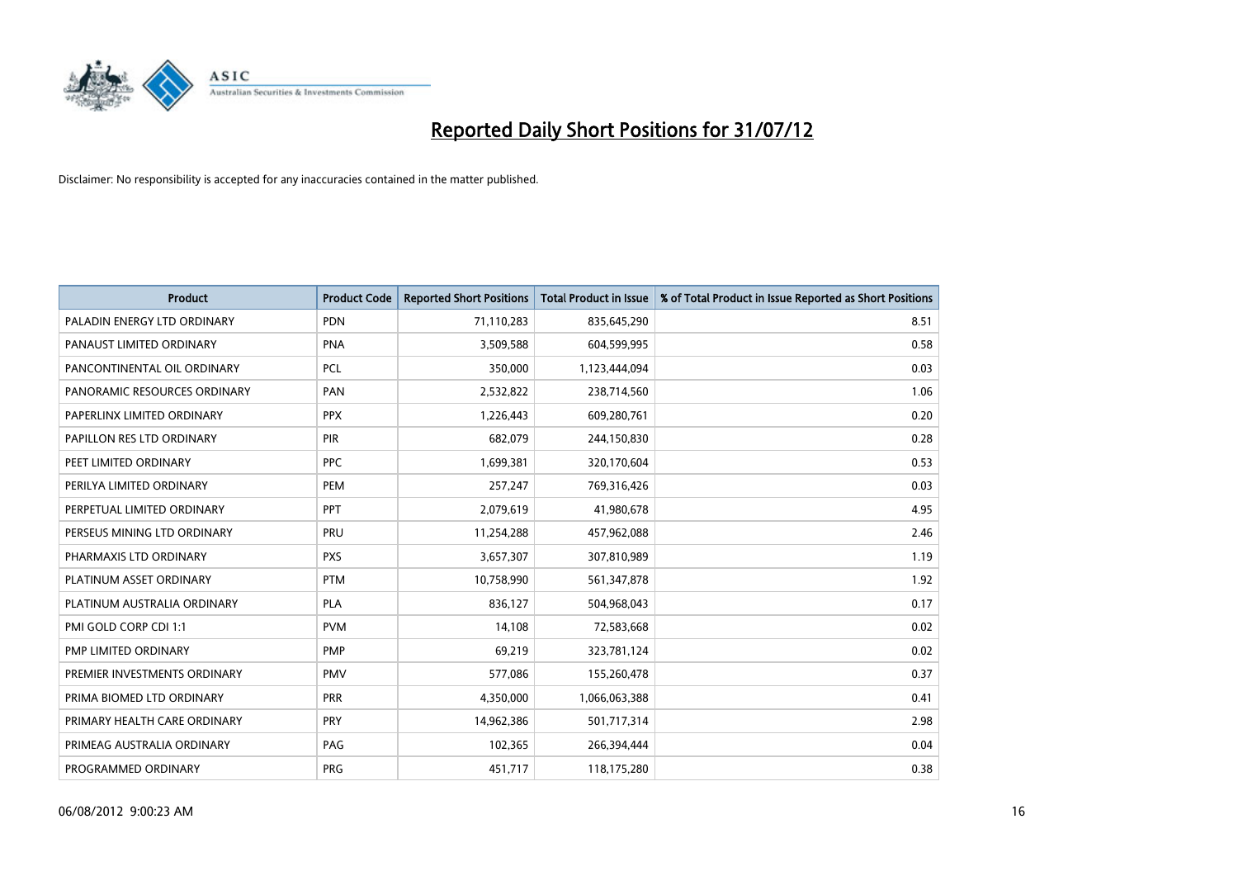

| <b>Product</b>               | <b>Product Code</b> | <b>Reported Short Positions</b> | <b>Total Product in Issue</b> | % of Total Product in Issue Reported as Short Positions |
|------------------------------|---------------------|---------------------------------|-------------------------------|---------------------------------------------------------|
| PALADIN ENERGY LTD ORDINARY  | <b>PDN</b>          | 71,110,283                      | 835,645,290                   | 8.51                                                    |
| PANAUST LIMITED ORDINARY     | <b>PNA</b>          | 3,509,588                       | 604,599,995                   | 0.58                                                    |
| PANCONTINENTAL OIL ORDINARY  | <b>PCL</b>          | 350,000                         | 1,123,444,094                 | 0.03                                                    |
| PANORAMIC RESOURCES ORDINARY | PAN                 | 2,532,822                       | 238,714,560                   | 1.06                                                    |
| PAPERLINX LIMITED ORDINARY   | <b>PPX</b>          | 1,226,443                       | 609,280,761                   | 0.20                                                    |
| PAPILLON RES LTD ORDINARY    | <b>PIR</b>          | 682,079                         | 244,150,830                   | 0.28                                                    |
| PEET LIMITED ORDINARY        | <b>PPC</b>          | 1,699,381                       | 320,170,604                   | 0.53                                                    |
| PERILYA LIMITED ORDINARY     | PEM                 | 257,247                         | 769,316,426                   | 0.03                                                    |
| PERPETUAL LIMITED ORDINARY   | PPT                 | 2,079,619                       | 41,980,678                    | 4.95                                                    |
| PERSEUS MINING LTD ORDINARY  | PRU                 | 11,254,288                      | 457,962,088                   | 2.46                                                    |
| PHARMAXIS LTD ORDINARY       | <b>PXS</b>          | 3,657,307                       | 307,810,989                   | 1.19                                                    |
| PLATINUM ASSET ORDINARY      | <b>PTM</b>          | 10,758,990                      | 561,347,878                   | 1.92                                                    |
| PLATINUM AUSTRALIA ORDINARY  | <b>PLA</b>          | 836,127                         | 504,968,043                   | 0.17                                                    |
| PMI GOLD CORP CDI 1:1        | <b>PVM</b>          | 14,108                          | 72,583,668                    | 0.02                                                    |
| PMP LIMITED ORDINARY         | PMP                 | 69,219                          | 323,781,124                   | 0.02                                                    |
| PREMIER INVESTMENTS ORDINARY | <b>PMV</b>          | 577,086                         | 155,260,478                   | 0.37                                                    |
| PRIMA BIOMED LTD ORDINARY    | PRR                 | 4,350,000                       | 1,066,063,388                 | 0.41                                                    |
| PRIMARY HEALTH CARE ORDINARY | <b>PRY</b>          | 14,962,386                      | 501,717,314                   | 2.98                                                    |
| PRIMEAG AUSTRALIA ORDINARY   | PAG                 | 102,365                         | 266,394,444                   | 0.04                                                    |
| PROGRAMMED ORDINARY          | <b>PRG</b>          | 451,717                         | 118,175,280                   | 0.38                                                    |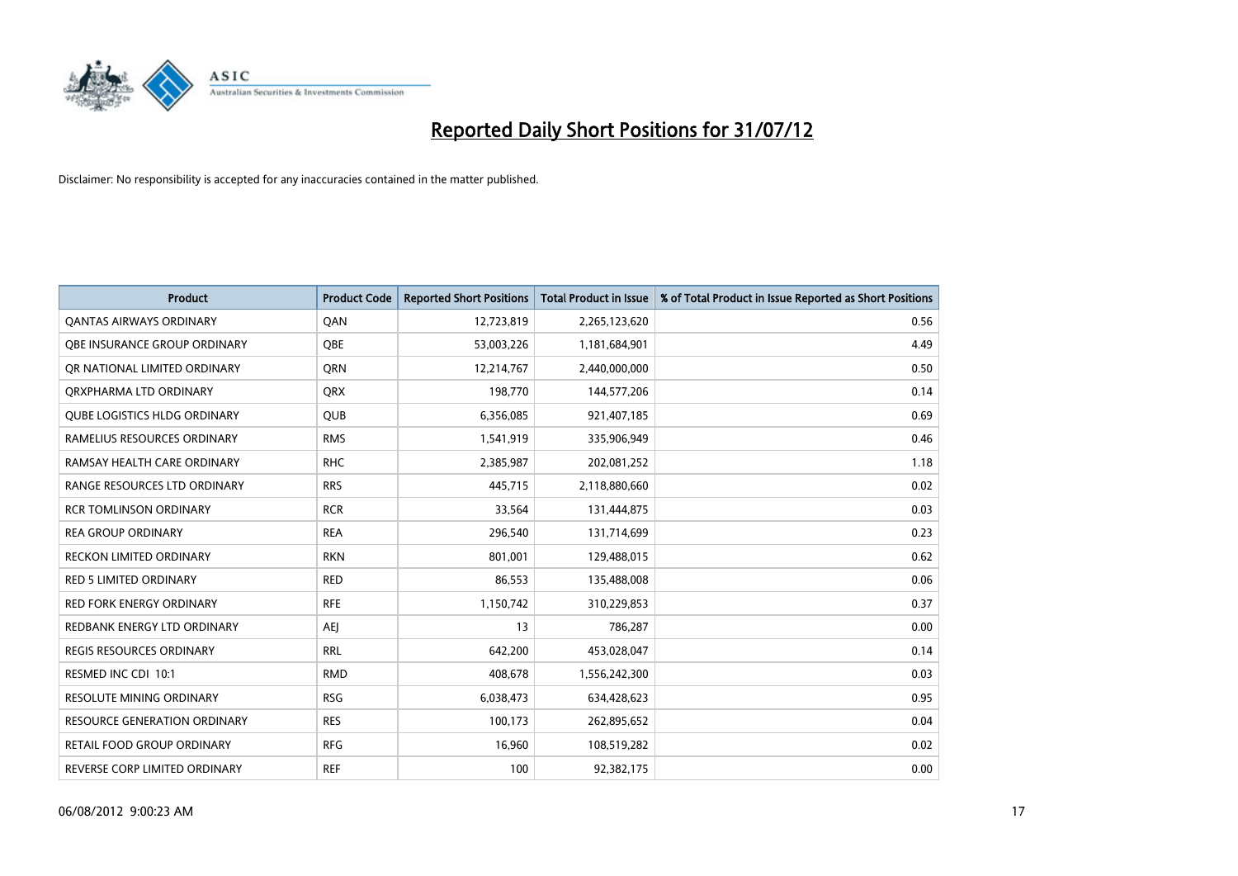

| <b>Product</b>                      | <b>Product Code</b> | <b>Reported Short Positions</b> | <b>Total Product in Issue</b> | % of Total Product in Issue Reported as Short Positions |
|-------------------------------------|---------------------|---------------------------------|-------------------------------|---------------------------------------------------------|
| <b>QANTAS AIRWAYS ORDINARY</b>      | QAN                 | 12,723,819                      | 2,265,123,620                 | 0.56                                                    |
| OBE INSURANCE GROUP ORDINARY        | <b>OBE</b>          | 53,003,226                      | 1,181,684,901                 | 4.49                                                    |
| OR NATIONAL LIMITED ORDINARY        | <b>ORN</b>          | 12,214,767                      | 2,440,000,000                 | 0.50                                                    |
| ORXPHARMA LTD ORDINARY              | <b>ORX</b>          | 198,770                         | 144,577,206                   | 0.14                                                    |
| <b>QUBE LOGISTICS HLDG ORDINARY</b> | <b>QUB</b>          | 6,356,085                       | 921,407,185                   | 0.69                                                    |
| RAMELIUS RESOURCES ORDINARY         | <b>RMS</b>          | 1,541,919                       | 335,906,949                   | 0.46                                                    |
| RAMSAY HEALTH CARE ORDINARY         | <b>RHC</b>          | 2,385,987                       | 202,081,252                   | 1.18                                                    |
| RANGE RESOURCES LTD ORDINARY        | <b>RRS</b>          | 445,715                         | 2,118,880,660                 | 0.02                                                    |
| <b>RCR TOMLINSON ORDINARY</b>       | <b>RCR</b>          | 33,564                          | 131,444,875                   | 0.03                                                    |
| <b>REA GROUP ORDINARY</b>           | <b>REA</b>          | 296,540                         | 131,714,699                   | 0.23                                                    |
| RECKON LIMITED ORDINARY             | <b>RKN</b>          | 801,001                         | 129,488,015                   | 0.62                                                    |
| <b>RED 5 LIMITED ORDINARY</b>       | <b>RED</b>          | 86,553                          | 135,488,008                   | 0.06                                                    |
| RED FORK ENERGY ORDINARY            | <b>RFE</b>          | 1,150,742                       | 310,229,853                   | 0.37                                                    |
| REDBANK ENERGY LTD ORDINARY         | <b>AEI</b>          | 13                              | 786,287                       | 0.00                                                    |
| <b>REGIS RESOURCES ORDINARY</b>     | <b>RRL</b>          | 642,200                         | 453,028,047                   | 0.14                                                    |
| RESMED INC CDI 10:1                 | <b>RMD</b>          | 408,678                         | 1,556,242,300                 | 0.03                                                    |
| RESOLUTE MINING ORDINARY            | <b>RSG</b>          | 6,038,473                       | 634,428,623                   | 0.95                                                    |
| RESOURCE GENERATION ORDINARY        | <b>RES</b>          | 100,173                         | 262,895,652                   | 0.04                                                    |
| <b>RETAIL FOOD GROUP ORDINARY</b>   | <b>RFG</b>          | 16,960                          | 108,519,282                   | 0.02                                                    |
| REVERSE CORP LIMITED ORDINARY       | <b>REF</b>          | 100                             | 92,382,175                    | 0.00                                                    |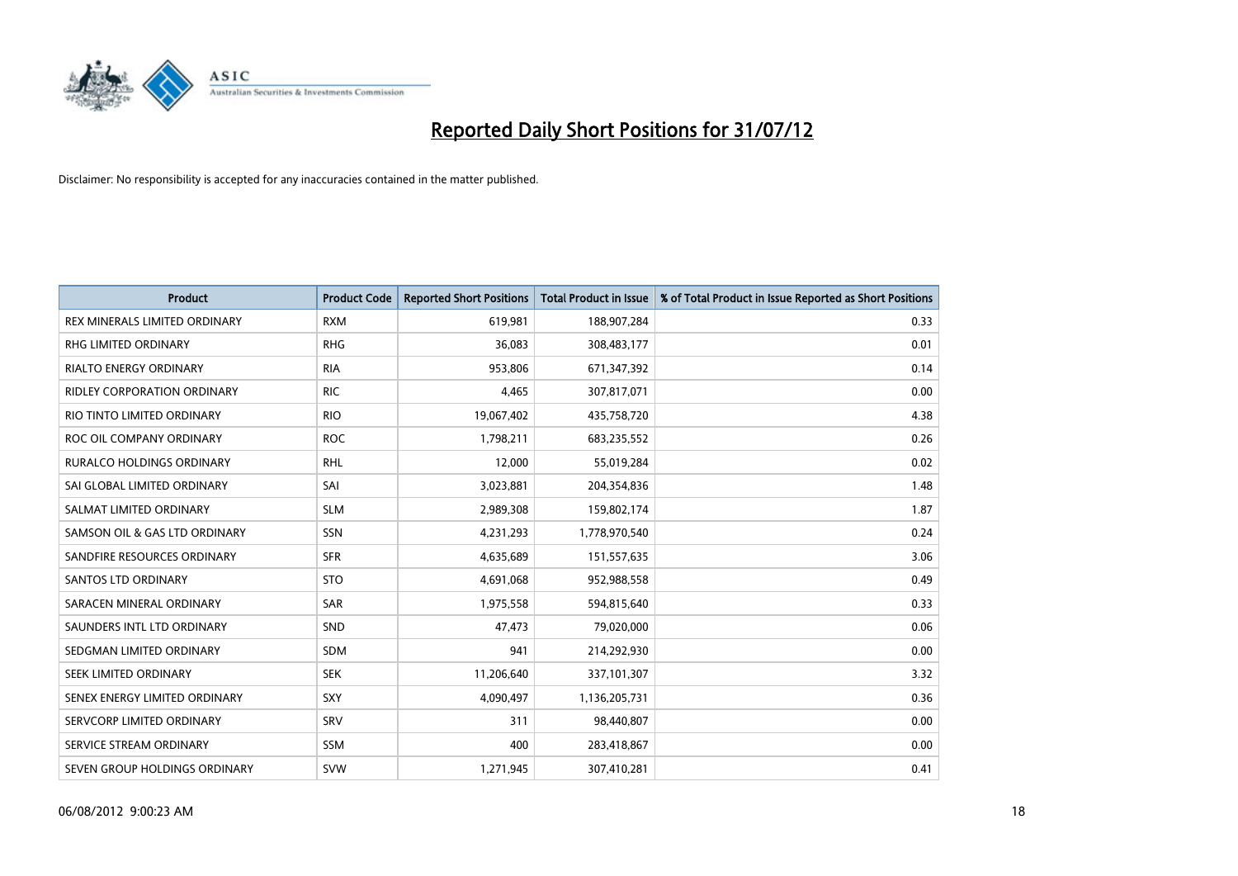

| <b>Product</b>                | <b>Product Code</b> | <b>Reported Short Positions</b> | <b>Total Product in Issue</b> | % of Total Product in Issue Reported as Short Positions |
|-------------------------------|---------------------|---------------------------------|-------------------------------|---------------------------------------------------------|
| REX MINERALS LIMITED ORDINARY | <b>RXM</b>          | 619,981                         | 188,907,284                   | 0.33                                                    |
| RHG LIMITED ORDINARY          | <b>RHG</b>          | 36,083                          | 308,483,177                   | 0.01                                                    |
| <b>RIALTO ENERGY ORDINARY</b> | <b>RIA</b>          | 953,806                         | 671,347,392                   | 0.14                                                    |
| RIDLEY CORPORATION ORDINARY   | <b>RIC</b>          | 4,465                           | 307,817,071                   | 0.00                                                    |
| RIO TINTO LIMITED ORDINARY    | <b>RIO</b>          | 19,067,402                      | 435,758,720                   | 4.38                                                    |
| ROC OIL COMPANY ORDINARY      | <b>ROC</b>          | 1,798,211                       | 683,235,552                   | 0.26                                                    |
| RURALCO HOLDINGS ORDINARY     | <b>RHL</b>          | 12,000                          | 55,019,284                    | 0.02                                                    |
| SAI GLOBAL LIMITED ORDINARY   | SAI                 | 3,023,881                       | 204,354,836                   | 1.48                                                    |
| SALMAT LIMITED ORDINARY       | <b>SLM</b>          | 2,989,308                       | 159,802,174                   | 1.87                                                    |
| SAMSON OIL & GAS LTD ORDINARY | SSN                 | 4,231,293                       | 1,778,970,540                 | 0.24                                                    |
| SANDFIRE RESOURCES ORDINARY   | <b>SFR</b>          | 4,635,689                       | 151,557,635                   | 3.06                                                    |
| <b>SANTOS LTD ORDINARY</b>    | <b>STO</b>          | 4,691,068                       | 952,988,558                   | 0.49                                                    |
| SARACEN MINERAL ORDINARY      | SAR                 | 1,975,558                       | 594,815,640                   | 0.33                                                    |
| SAUNDERS INTL LTD ORDINARY    | SND                 | 47,473                          | 79,020,000                    | 0.06                                                    |
| SEDGMAN LIMITED ORDINARY      | <b>SDM</b>          | 941                             | 214,292,930                   | 0.00                                                    |
| SEEK LIMITED ORDINARY         | <b>SEK</b>          | 11,206,640                      | 337,101,307                   | 3.32                                                    |
| SENEX ENERGY LIMITED ORDINARY | <b>SXY</b>          | 4,090,497                       | 1,136,205,731                 | 0.36                                                    |
| SERVCORP LIMITED ORDINARY     | SRV                 | 311                             | 98,440,807                    | 0.00                                                    |
| SERVICE STREAM ORDINARY       | <b>SSM</b>          | 400                             | 283,418,867                   | 0.00                                                    |
| SEVEN GROUP HOLDINGS ORDINARY | <b>SVW</b>          | 1,271,945                       | 307,410,281                   | 0.41                                                    |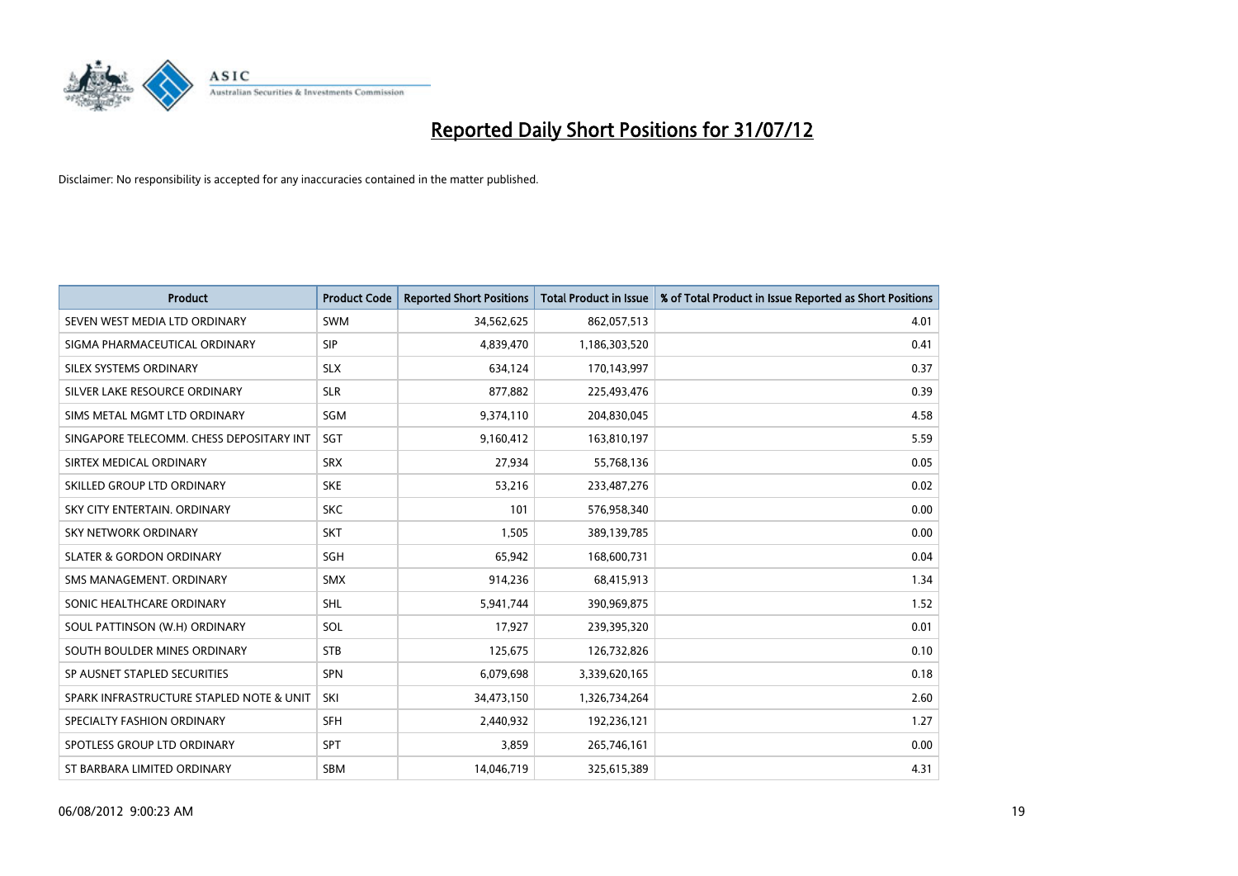

| <b>Product</b>                           | <b>Product Code</b> | <b>Reported Short Positions</b> | <b>Total Product in Issue</b> | % of Total Product in Issue Reported as Short Positions |
|------------------------------------------|---------------------|---------------------------------|-------------------------------|---------------------------------------------------------|
| SEVEN WEST MEDIA LTD ORDINARY            | <b>SWM</b>          | 34,562,625                      | 862,057,513                   | 4.01                                                    |
| SIGMA PHARMACEUTICAL ORDINARY            | <b>SIP</b>          | 4,839,470                       | 1,186,303,520                 | 0.41                                                    |
| SILEX SYSTEMS ORDINARY                   | <b>SLX</b>          | 634,124                         | 170,143,997                   | 0.37                                                    |
| SILVER LAKE RESOURCE ORDINARY            | <b>SLR</b>          | 877,882                         | 225,493,476                   | 0.39                                                    |
| SIMS METAL MGMT LTD ORDINARY             | SGM                 | 9,374,110                       | 204,830,045                   | 4.58                                                    |
| SINGAPORE TELECOMM. CHESS DEPOSITARY INT | <b>SGT</b>          | 9,160,412                       | 163,810,197                   | 5.59                                                    |
| SIRTEX MEDICAL ORDINARY                  | <b>SRX</b>          | 27,934                          | 55,768,136                    | 0.05                                                    |
| SKILLED GROUP LTD ORDINARY               | <b>SKE</b>          | 53,216                          | 233,487,276                   | 0.02                                                    |
| SKY CITY ENTERTAIN, ORDINARY             | <b>SKC</b>          | 101                             | 576,958,340                   | 0.00                                                    |
| <b>SKY NETWORK ORDINARY</b>              | <b>SKT</b>          | 1,505                           | 389,139,785                   | 0.00                                                    |
| <b>SLATER &amp; GORDON ORDINARY</b>      | <b>SGH</b>          | 65,942                          | 168,600,731                   | 0.04                                                    |
| SMS MANAGEMENT, ORDINARY                 | <b>SMX</b>          | 914,236                         | 68,415,913                    | 1.34                                                    |
| SONIC HEALTHCARE ORDINARY                | <b>SHL</b>          | 5,941,744                       | 390,969,875                   | 1.52                                                    |
| SOUL PATTINSON (W.H) ORDINARY            | SOL                 | 17,927                          | 239,395,320                   | 0.01                                                    |
| SOUTH BOULDER MINES ORDINARY             | <b>STB</b>          | 125,675                         | 126,732,826                   | 0.10                                                    |
| SP AUSNET STAPLED SECURITIES             | <b>SPN</b>          | 6,079,698                       | 3,339,620,165                 | 0.18                                                    |
| SPARK INFRASTRUCTURE STAPLED NOTE & UNIT | SKI                 | 34,473,150                      | 1,326,734,264                 | 2.60                                                    |
| SPECIALTY FASHION ORDINARY               | <b>SFH</b>          | 2,440,932                       | 192,236,121                   | 1.27                                                    |
| SPOTLESS GROUP LTD ORDINARY              | <b>SPT</b>          | 3,859                           | 265,746,161                   | 0.00                                                    |
| ST BARBARA LIMITED ORDINARY              | <b>SBM</b>          | 14,046,719                      | 325,615,389                   | 4.31                                                    |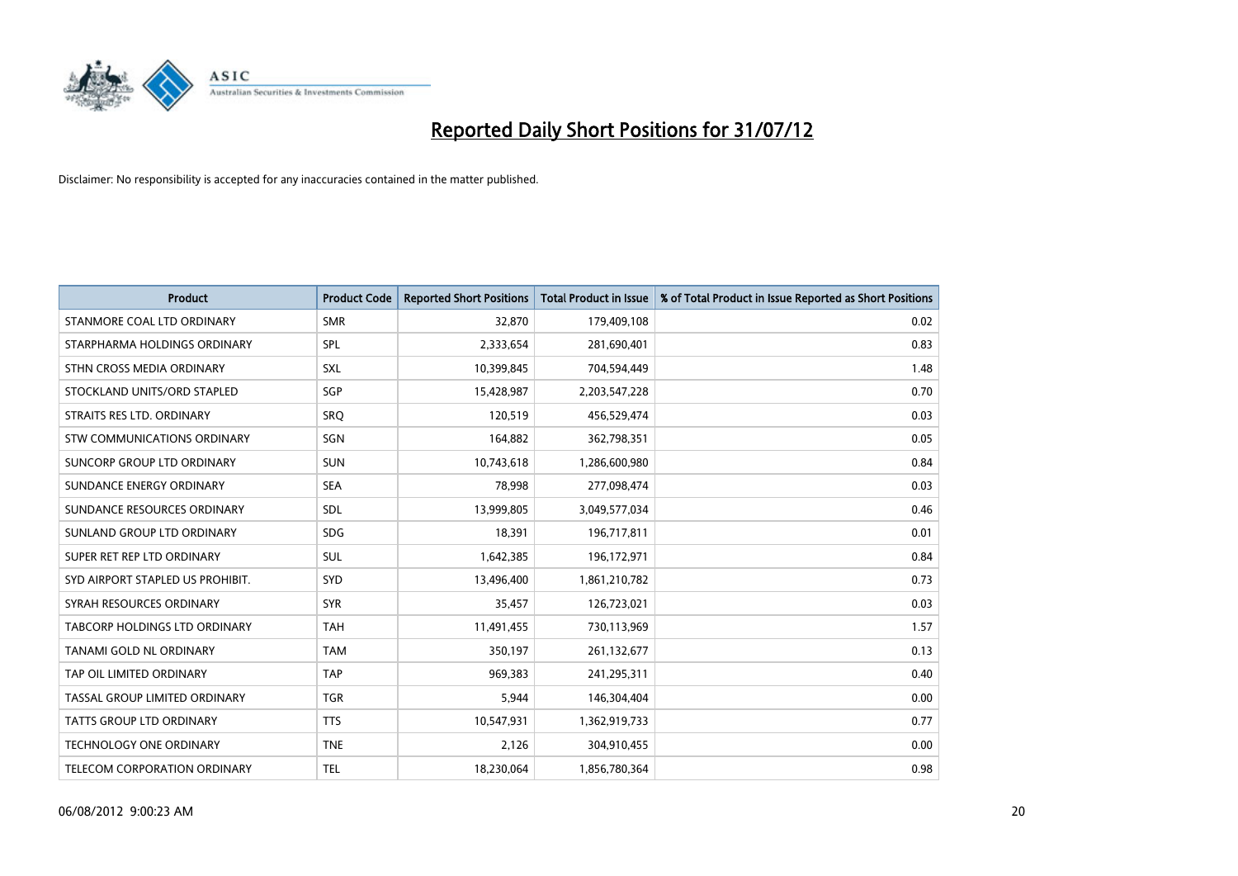

| <b>Product</b>                       | <b>Product Code</b> | <b>Reported Short Positions</b> | <b>Total Product in Issue</b> | % of Total Product in Issue Reported as Short Positions |
|--------------------------------------|---------------------|---------------------------------|-------------------------------|---------------------------------------------------------|
| STANMORE COAL LTD ORDINARY           | <b>SMR</b>          | 32,870                          | 179,409,108                   | 0.02                                                    |
| STARPHARMA HOLDINGS ORDINARY         | <b>SPL</b>          | 2,333,654                       | 281,690,401                   | 0.83                                                    |
| STHN CROSS MEDIA ORDINARY            | <b>SXL</b>          | 10,399,845                      | 704,594,449                   | 1.48                                                    |
| STOCKLAND UNITS/ORD STAPLED          | SGP                 | 15,428,987                      | 2,203,547,228                 | 0.70                                                    |
| STRAITS RES LTD. ORDINARY            | SRO                 | 120,519                         | 456,529,474                   | 0.03                                                    |
| <b>STW COMMUNICATIONS ORDINARY</b>   | SGN                 | 164,882                         | 362,798,351                   | 0.05                                                    |
| SUNCORP GROUP LTD ORDINARY           | <b>SUN</b>          | 10,743,618                      | 1,286,600,980                 | 0.84                                                    |
| SUNDANCE ENERGY ORDINARY             | <b>SEA</b>          | 78,998                          | 277,098,474                   | 0.03                                                    |
| SUNDANCE RESOURCES ORDINARY          | <b>SDL</b>          | 13,999,805                      | 3,049,577,034                 | 0.46                                                    |
| SUNLAND GROUP LTD ORDINARY           | <b>SDG</b>          | 18,391                          | 196,717,811                   | 0.01                                                    |
| SUPER RET REP LTD ORDINARY           | <b>SUL</b>          | 1,642,385                       | 196,172,971                   | 0.84                                                    |
| SYD AIRPORT STAPLED US PROHIBIT.     | <b>SYD</b>          | 13,496,400                      | 1,861,210,782                 | 0.73                                                    |
| SYRAH RESOURCES ORDINARY             | <b>SYR</b>          | 35,457                          | 126,723,021                   | 0.03                                                    |
| <b>TABCORP HOLDINGS LTD ORDINARY</b> | <b>TAH</b>          | 11,491,455                      | 730,113,969                   | 1.57                                                    |
| <b>TANAMI GOLD NL ORDINARY</b>       | <b>TAM</b>          | 350,197                         | 261,132,677                   | 0.13                                                    |
| TAP OIL LIMITED ORDINARY             | <b>TAP</b>          | 969,383                         | 241,295,311                   | 0.40                                                    |
| TASSAL GROUP LIMITED ORDINARY        | <b>TGR</b>          | 5,944                           | 146,304,404                   | 0.00                                                    |
| TATTS GROUP LTD ORDINARY             | <b>TTS</b>          | 10,547,931                      | 1,362,919,733                 | 0.77                                                    |
| <b>TECHNOLOGY ONE ORDINARY</b>       | <b>TNE</b>          | 2,126                           | 304,910,455                   | 0.00                                                    |
| TELECOM CORPORATION ORDINARY         | <b>TEL</b>          | 18,230,064                      | 1,856,780,364                 | 0.98                                                    |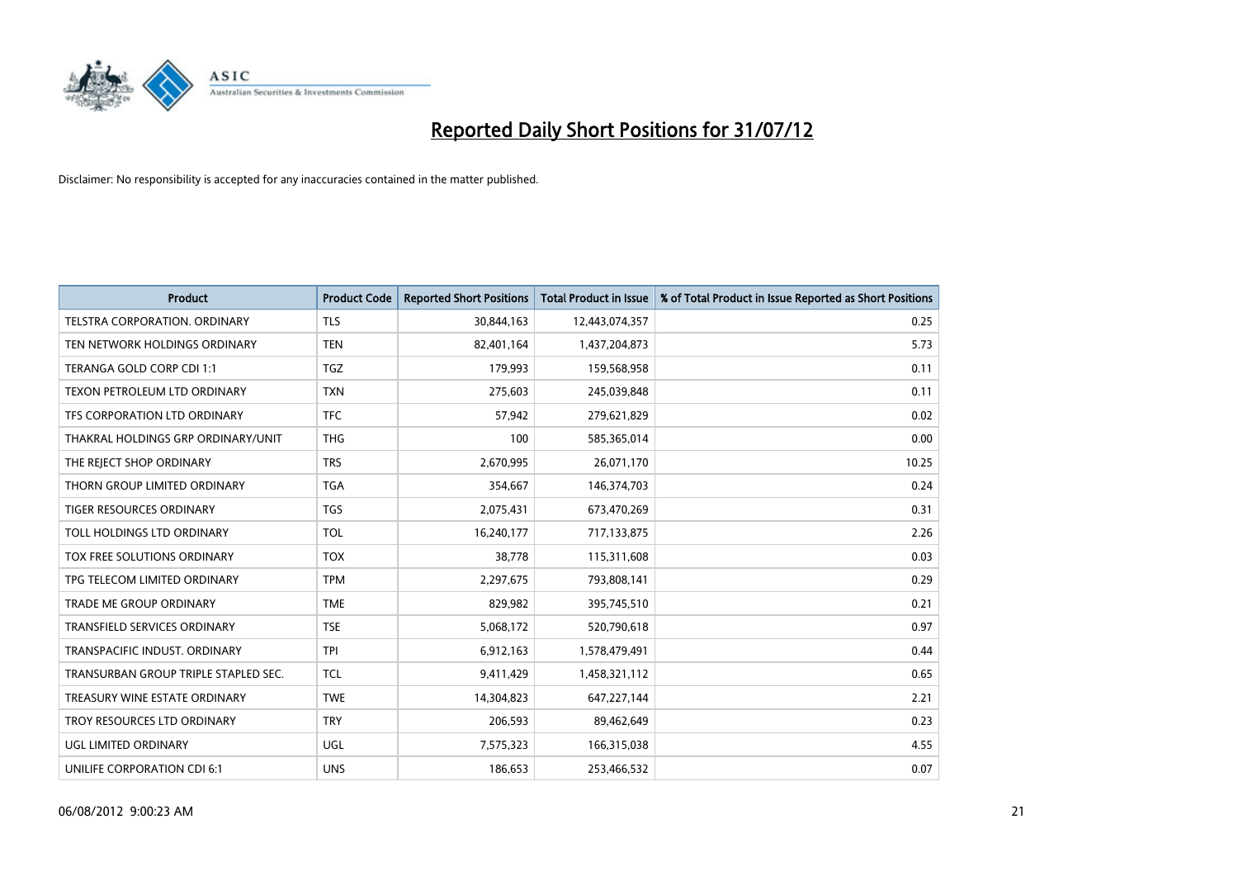

| <b>Product</b>                       | <b>Product Code</b> | <b>Reported Short Positions</b> | Total Product in Issue | % of Total Product in Issue Reported as Short Positions |
|--------------------------------------|---------------------|---------------------------------|------------------------|---------------------------------------------------------|
| <b>TELSTRA CORPORATION, ORDINARY</b> | <b>TLS</b>          | 30,844,163                      | 12,443,074,357         | 0.25                                                    |
| TEN NETWORK HOLDINGS ORDINARY        | <b>TEN</b>          | 82,401,164                      | 1,437,204,873          | 5.73                                                    |
| TERANGA GOLD CORP CDI 1:1            | <b>TGZ</b>          | 179,993                         | 159,568,958            | 0.11                                                    |
| TEXON PETROLEUM LTD ORDINARY         | <b>TXN</b>          | 275,603                         | 245,039,848            | 0.11                                                    |
| TFS CORPORATION LTD ORDINARY         | <b>TFC</b>          | 57,942                          | 279,621,829            | 0.02                                                    |
| THAKRAL HOLDINGS GRP ORDINARY/UNIT   | <b>THG</b>          | 100                             | 585,365,014            | 0.00                                                    |
| THE REJECT SHOP ORDINARY             | <b>TRS</b>          | 2,670,995                       | 26,071,170             | 10.25                                                   |
| THORN GROUP LIMITED ORDINARY         | <b>TGA</b>          | 354,667                         | 146,374,703            | 0.24                                                    |
| TIGER RESOURCES ORDINARY             | <b>TGS</b>          | 2,075,431                       | 673,470,269            | 0.31                                                    |
| TOLL HOLDINGS LTD ORDINARY           | <b>TOL</b>          | 16,240,177                      | 717,133,875            | 2.26                                                    |
| TOX FREE SOLUTIONS ORDINARY          | <b>TOX</b>          | 38,778                          | 115,311,608            | 0.03                                                    |
| TPG TELECOM LIMITED ORDINARY         | <b>TPM</b>          | 2,297,675                       | 793,808,141            | 0.29                                                    |
| <b>TRADE ME GROUP ORDINARY</b>       | <b>TME</b>          | 829,982                         | 395,745,510            | 0.21                                                    |
| <b>TRANSFIELD SERVICES ORDINARY</b>  | <b>TSE</b>          | 5,068,172                       | 520,790,618            | 0.97                                                    |
| TRANSPACIFIC INDUST, ORDINARY        | <b>TPI</b>          | 6,912,163                       | 1,578,479,491          | 0.44                                                    |
| TRANSURBAN GROUP TRIPLE STAPLED SEC. | <b>TCL</b>          | 9,411,429                       | 1,458,321,112          | 0.65                                                    |
| TREASURY WINE ESTATE ORDINARY        | <b>TWE</b>          | 14,304,823                      | 647,227,144            | 2.21                                                    |
| TROY RESOURCES LTD ORDINARY          | <b>TRY</b>          | 206,593                         | 89,462,649             | 0.23                                                    |
| UGL LIMITED ORDINARY                 | <b>UGL</b>          | 7,575,323                       | 166,315,038            | 4.55                                                    |
| UNILIFE CORPORATION CDI 6:1          | <b>UNS</b>          | 186.653                         | 253,466,532            | 0.07                                                    |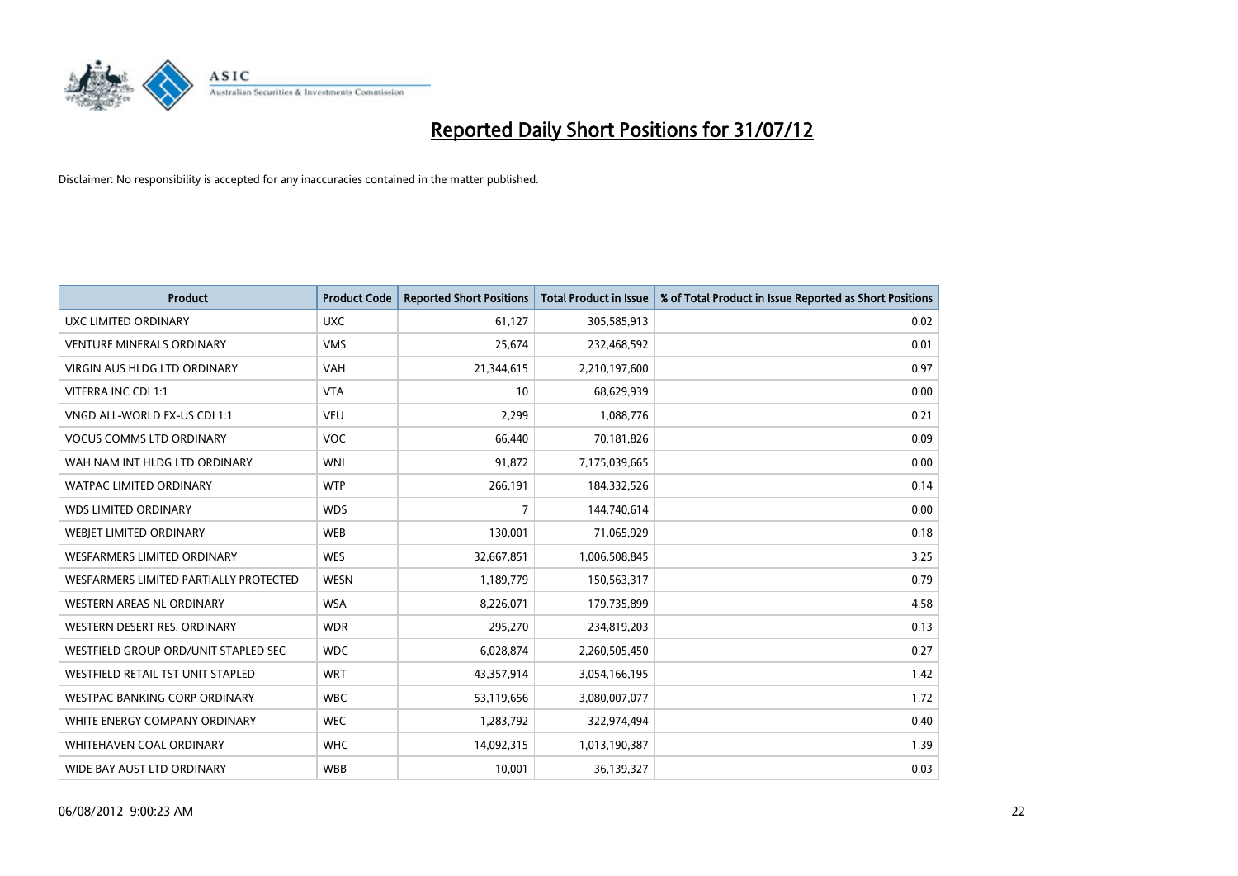

| <b>Product</b>                         | <b>Product Code</b> | <b>Reported Short Positions</b> | <b>Total Product in Issue</b> | % of Total Product in Issue Reported as Short Positions |
|----------------------------------------|---------------------|---------------------------------|-------------------------------|---------------------------------------------------------|
| <b>UXC LIMITED ORDINARY</b>            | <b>UXC</b>          | 61,127                          | 305,585,913                   | 0.02                                                    |
| <b>VENTURE MINERALS ORDINARY</b>       | <b>VMS</b>          | 25,674                          | 232,468,592                   | 0.01                                                    |
| <b>VIRGIN AUS HLDG LTD ORDINARY</b>    | <b>VAH</b>          | 21,344,615                      | 2,210,197,600                 | 0.97                                                    |
| VITERRA INC CDI 1:1                    | <b>VTA</b>          | 10                              | 68,629,939                    | 0.00                                                    |
| VNGD ALL-WORLD EX-US CDI 1:1           | <b>VEU</b>          | 2,299                           | 1,088,776                     | 0.21                                                    |
| <b>VOCUS COMMS LTD ORDINARY</b>        | <b>VOC</b>          | 66,440                          | 70,181,826                    | 0.09                                                    |
| WAH NAM INT HLDG LTD ORDINARY          | <b>WNI</b>          | 91,872                          | 7,175,039,665                 | 0.00                                                    |
| WATPAC LIMITED ORDINARY                | <b>WTP</b>          | 266,191                         | 184,332,526                   | 0.14                                                    |
| <b>WDS LIMITED ORDINARY</b>            | <b>WDS</b>          | 7                               | 144,740,614                   | 0.00                                                    |
| WEBIET LIMITED ORDINARY                | <b>WEB</b>          | 130,001                         | 71,065,929                    | 0.18                                                    |
| <b>WESFARMERS LIMITED ORDINARY</b>     | <b>WES</b>          | 32,667,851                      | 1,006,508,845                 | 3.25                                                    |
| WESFARMERS LIMITED PARTIALLY PROTECTED | <b>WESN</b>         | 1,189,779                       | 150,563,317                   | 0.79                                                    |
| <b>WESTERN AREAS NL ORDINARY</b>       | <b>WSA</b>          | 8,226,071                       | 179,735,899                   | 4.58                                                    |
| WESTERN DESERT RES. ORDINARY           | <b>WDR</b>          | 295,270                         | 234,819,203                   | 0.13                                                    |
| WESTFIELD GROUP ORD/UNIT STAPLED SEC   | <b>WDC</b>          | 6,028,874                       | 2,260,505,450                 | 0.27                                                    |
| WESTFIELD RETAIL TST UNIT STAPLED      | <b>WRT</b>          | 43,357,914                      | 3,054,166,195                 | 1.42                                                    |
| WESTPAC BANKING CORP ORDINARY          | <b>WBC</b>          | 53,119,656                      | 3,080,007,077                 | 1.72                                                    |
| WHITE ENERGY COMPANY ORDINARY          | <b>WEC</b>          | 1,283,792                       | 322,974,494                   | 0.40                                                    |
| <b>WHITEHAVEN COAL ORDINARY</b>        | <b>WHC</b>          | 14,092,315                      | 1,013,190,387                 | 1.39                                                    |
| WIDE BAY AUST LTD ORDINARY             | <b>WBB</b>          | 10,001                          | 36,139,327                    | 0.03                                                    |